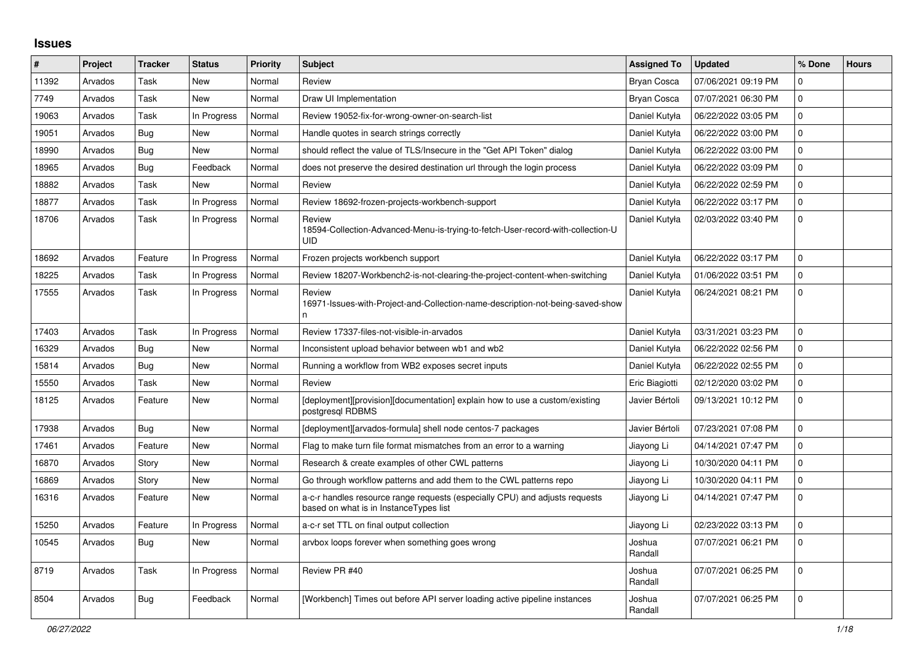## **Issues**

| $\vert$ # | Project | <b>Tracker</b> | <b>Status</b> | <b>Priority</b> | Subject                                                                                                               | <b>Assigned To</b> | <b>Updated</b>      | % Done         | <b>Hours</b> |
|-----------|---------|----------------|---------------|-----------------|-----------------------------------------------------------------------------------------------------------------------|--------------------|---------------------|----------------|--------------|
| 11392     | Arvados | Task           | New           | Normal          | Review                                                                                                                | <b>Bryan Cosca</b> | 07/06/2021 09:19 PM | $\Omega$       |              |
| 7749      | Arvados | Task           | <b>New</b>    | Normal          | Draw UI Implementation                                                                                                | <b>Bryan Cosca</b> | 07/07/2021 06:30 PM | $\Omega$       |              |
| 19063     | Arvados | Task           | In Progress   | Normal          | Review 19052-fix-for-wrong-owner-on-search-list                                                                       | Daniel Kutyła      | 06/22/2022 03:05 PM | $\Omega$       |              |
| 19051     | Arvados | Bug            | New           | Normal          | Handle quotes in search strings correctly                                                                             | Daniel Kutyła      | 06/22/2022 03:00 PM | $\pmb{0}$      |              |
| 18990     | Arvados | Bug            | New           | Normal          | should reflect the value of TLS/Insecure in the "Get API Token" dialog                                                | Daniel Kutyła      | 06/22/2022 03:00 PM | $\pmb{0}$      |              |
| 18965     | Arvados | Bug            | Feedback      | Normal          | does not preserve the desired destination url through the login process                                               | Daniel Kutyła      | 06/22/2022 03:09 PM | $\mathbf{0}$   |              |
| 18882     | Arvados | Task           | New           | Normal          | Review                                                                                                                | Daniel Kutyła      | 06/22/2022 02:59 PM | $\mathbf{0}$   |              |
| 18877     | Arvados | Task           | In Progress   | Normal          | Review 18692-frozen-projects-workbench-support                                                                        | Daniel Kutyła      | 06/22/2022 03:17 PM | $\mathbf 0$    |              |
| 18706     | Arvados | Task           | In Progress   | Normal          | Review<br>18594-Collection-Advanced-Menu-is-trying-to-fetch-User-record-with-collection-U<br>UID                      | Daniel Kutyła      | 02/03/2022 03:40 PM | $\overline{0}$ |              |
| 18692     | Arvados | Feature        | In Progress   | Normal          | Frozen projects workbench support                                                                                     | Daniel Kutyła      | 06/22/2022 03:17 PM | $\Omega$       |              |
| 18225     | Arvados | Task           | In Progress   | Normal          | Review 18207-Workbench2-is-not-clearing-the-project-content-when-switching                                            | Daniel Kutyła      | 01/06/2022 03:51 PM | $\mathbf{0}$   |              |
| 17555     | Arvados | Task           | In Progress   | Normal          | Review<br>16971-Issues-with-Project-and-Collection-name-description-not-being-saved-show                              | Daniel Kutyła      | 06/24/2021 08:21 PM | $\overline{0}$ |              |
| 17403     | Arvados | Task           | In Progress   | Normal          | Review 17337-files-not-visible-in-arvados                                                                             | Daniel Kutyła      | 03/31/2021 03:23 PM | $\mathbf{0}$   |              |
| 16329     | Arvados | Bug            | New           | Normal          | Inconsistent upload behavior between wb1 and wb2                                                                      | Daniel Kutyła      | 06/22/2022 02:56 PM | 0              |              |
| 15814     | Arvados | <b>Bug</b>     | New           | Normal          | Running a workflow from WB2 exposes secret inputs                                                                     | Daniel Kutyła      | 06/22/2022 02:55 PM | $\mathbf 0$    |              |
| 15550     | Arvados | Task           | New           | Normal          | Review                                                                                                                | Eric Biagiotti     | 02/12/2020 03:02 PM | $\overline{0}$ |              |
| 18125     | Arvados | Feature        | New           | Normal          | [deployment][provision][documentation] explain how to use a custom/existing<br>postgresql RDBMS                       | Javier Bértoli     | 09/13/2021 10:12 PM | $\mathbf 0$    |              |
| 17938     | Arvados | Bug            | New           | Normal          | [deployment][arvados-formula] shell node centos-7 packages                                                            | Javier Bértoli     | 07/23/2021 07:08 PM | $\Omega$       |              |
| 17461     | Arvados | Feature        | New           | Normal          | Flag to make turn file format mismatches from an error to a warning                                                   | Jiayong Li         | 04/14/2021 07:47 PM | $\mathbf 0$    |              |
| 16870     | Arvados | Story          | <b>New</b>    | Normal          | Research & create examples of other CWL patterns                                                                      | Jiayong Li         | 10/30/2020 04:11 PM | $\mathbf{0}$   |              |
| 16869     | Arvados | Story          | <b>New</b>    | Normal          | Go through workflow patterns and add them to the CWL patterns repo                                                    | Jiayong Li         | 10/30/2020 04:11 PM | $\overline{0}$ |              |
| 16316     | Arvados | Feature        | New           | Normal          | a-c-r handles resource range requests (especially CPU) and adjusts requests<br>based on what is in InstanceTypes list | Jiayong Li         | 04/14/2021 07:47 PM | $\Omega$       |              |
| 15250     | Arvados | Feature        | In Progress   | Normal          | a-c-r set TTL on final output collection                                                                              | Jiayong Li         | 02/23/2022 03:13 PM | $\Omega$       |              |
| 10545     | Arvados | Bug            | <b>New</b>    | Normal          | arvbox loops forever when something goes wrong                                                                        | Joshua<br>Randall  | 07/07/2021 06:21 PM | $\Omega$       |              |
| 8719      | Arvados | Task           | In Progress   | Normal          | Review PR #40                                                                                                         | Joshua<br>Randall  | 07/07/2021 06:25 PM | $\Omega$       |              |
| 8504      | Arvados | Bug            | Feedback      | Normal          | [Workbench] Times out before API server loading active pipeline instances                                             | Joshua<br>Randall  | 07/07/2021 06:25 PM | $\overline{0}$ |              |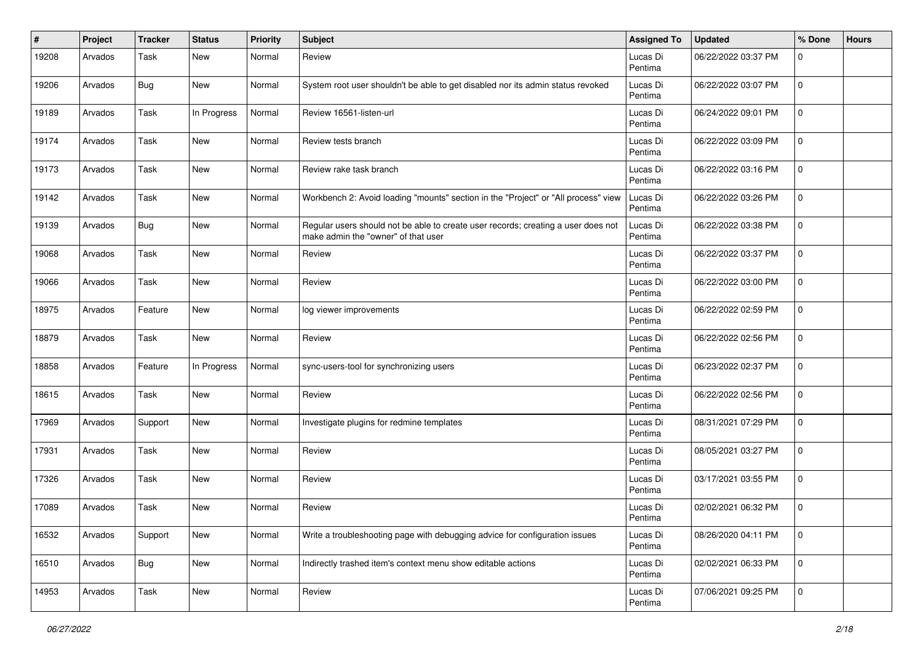| #     | Project | <b>Tracker</b> | <b>Status</b> | <b>Priority</b> | <b>Subject</b>                                                                                                           | <b>Assigned To</b>  | <b>Updated</b>      | % Done       | <b>Hours</b> |
|-------|---------|----------------|---------------|-----------------|--------------------------------------------------------------------------------------------------------------------------|---------------------|---------------------|--------------|--------------|
| 19208 | Arvados | Task           | <b>New</b>    | Normal          | Review                                                                                                                   | Lucas Di<br>Pentima | 06/22/2022 03:37 PM | 0            |              |
| 19206 | Arvados | <b>Bug</b>     | New           | Normal          | System root user shouldn't be able to get disabled nor its admin status revoked                                          | Lucas Di<br>Pentima | 06/22/2022 03:07 PM | $\Omega$     |              |
| 19189 | Arvados | Task           | In Progress   | Normal          | Review 16561-listen-url                                                                                                  | Lucas Di<br>Pentima | 06/24/2022 09:01 PM | $\Omega$     |              |
| 19174 | Arvados | Task           | New           | Normal          | Review tests branch                                                                                                      | Lucas Di<br>Pentima | 06/22/2022 03:09 PM | $\Omega$     |              |
| 19173 | Arvados | Task           | New           | Normal          | Review rake task branch                                                                                                  | Lucas Di<br>Pentima | 06/22/2022 03:16 PM | $\Omega$     |              |
| 19142 | Arvados | Task           | New           | Normal          | Workbench 2: Avoid loading "mounts" section in the "Project" or "All process" view                                       | Lucas Di<br>Pentima | 06/22/2022 03:26 PM | $\mathbf 0$  |              |
| 19139 | Arvados | <b>Bug</b>     | New           | Normal          | Regular users should not be able to create user records; creating a user does not<br>make admin the "owner" of that user | Lucas Di<br>Pentima | 06/22/2022 03:38 PM | $\Omega$     |              |
| 19068 | Arvados | Task           | <b>New</b>    | Normal          | Review                                                                                                                   | Lucas Di<br>Pentima | 06/22/2022 03:37 PM | $\Omega$     |              |
| 19066 | Arvados | Task           | New           | Normal          | Review                                                                                                                   | Lucas Di<br>Pentima | 06/22/2022 03:00 PM | $\Omega$     |              |
| 18975 | Arvados | Feature        | New           | Normal          | log viewer improvements                                                                                                  | Lucas Di<br>Pentima | 06/22/2022 02:59 PM | $\mathbf 0$  |              |
| 18879 | Arvados | Task           | New           | Normal          | Review                                                                                                                   | Lucas Di<br>Pentima | 06/22/2022 02:56 PM | $\Omega$     |              |
| 18858 | Arvados | Feature        | In Progress   | Normal          | sync-users-tool for synchronizing users                                                                                  | Lucas Di<br>Pentima | 06/23/2022 02:37 PM | $\Omega$     |              |
| 18615 | Arvados | Task           | New           | Normal          | Review                                                                                                                   | Lucas Di<br>Pentima | 06/22/2022 02:56 PM | $\Omega$     |              |
| 17969 | Arvados | Support        | New           | Normal          | Investigate plugins for redmine templates                                                                                | Lucas Di<br>Pentima | 08/31/2021 07:29 PM | $\Omega$     |              |
| 17931 | Arvados | Task           | New           | Normal          | Review                                                                                                                   | Lucas Di<br>Pentima | 08/05/2021 03:27 PM | $\Omega$     |              |
| 17326 | Arvados | Task           | New           | Normal          | Review                                                                                                                   | Lucas Di<br>Pentima | 03/17/2021 03:55 PM | 0            |              |
| 17089 | Arvados | Task           | New           | Normal          | Review                                                                                                                   | Lucas Di<br>Pentima | 02/02/2021 06:32 PM | $\mathbf 0$  |              |
| 16532 | Arvados | Support        | New           | Normal          | Write a troubleshooting page with debugging advice for configuration issues                                              | Lucas Di<br>Pentima | 08/26/2020 04:11 PM | $\mathbf{0}$ |              |
| 16510 | Arvados | <b>Bug</b>     | New           | Normal          | Indirectly trashed item's context menu show editable actions                                                             | Lucas Di<br>Pentima | 02/02/2021 06:33 PM | $\mathbf 0$  |              |
| 14953 | Arvados | Task           | New           | Normal          | Review                                                                                                                   | Lucas Di<br>Pentima | 07/06/2021 09:25 PM | $\mathbf{0}$ |              |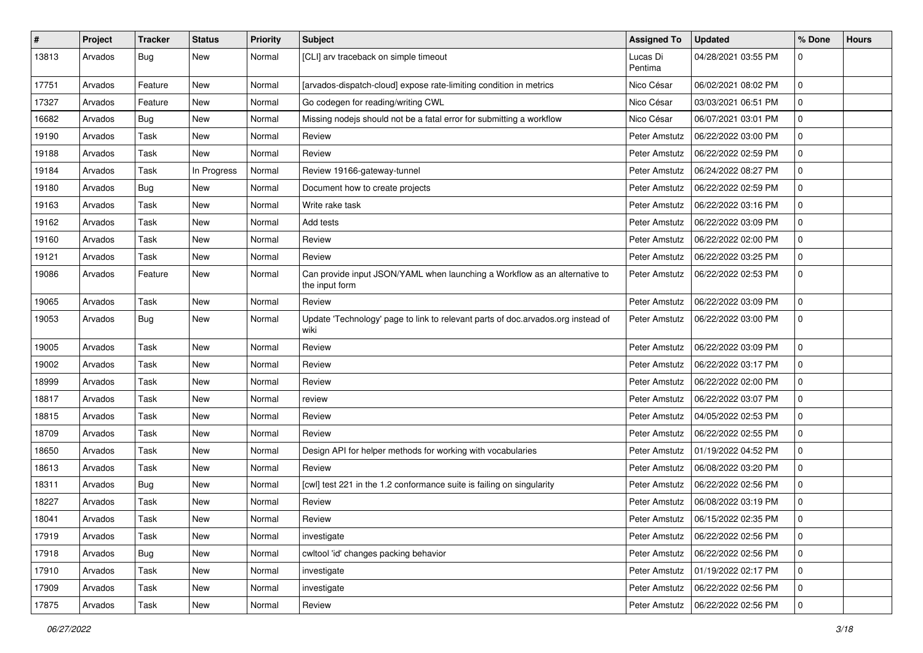| #     | Project | <b>Tracker</b> | <b>Status</b> | <b>Priority</b> | <b>Subject</b>                                                                               | <b>Assigned To</b>  | <b>Updated</b>      | % Done         | <b>Hours</b> |
|-------|---------|----------------|---------------|-----------------|----------------------------------------------------------------------------------------------|---------------------|---------------------|----------------|--------------|
| 13813 | Arvados | Bug            | New           | Normal          | [CLI] arv traceback on simple timeout                                                        | Lucas Di<br>Pentima | 04/28/2021 03:55 PM | $\Omega$       |              |
| 17751 | Arvados | Feature        | <b>New</b>    | Normal          | [arvados-dispatch-cloud] expose rate-limiting condition in metrics                           | Nico César          | 06/02/2021 08:02 PM | $\mathbf{0}$   |              |
| 17327 | Arvados | Feature        | <b>New</b>    | Normal          | Go codegen for reading/writing CWL                                                           | Nico César          | 03/03/2021 06:51 PM | $\Omega$       |              |
| 16682 | Arvados | Bug            | <b>New</b>    | Normal          | Missing nodejs should not be a fatal error for submitting a workflow                         | Nico César          | 06/07/2021 03:01 PM | $\Omega$       |              |
| 19190 | Arvados | Task           | <b>New</b>    | Normal          | Review                                                                                       | Peter Amstutz       | 06/22/2022 03:00 PM | $\Omega$       |              |
| 19188 | Arvados | Task           | <b>New</b>    | Normal          | Review                                                                                       | Peter Amstutz       | 06/22/2022 02:59 PM | $\Omega$       |              |
| 19184 | Arvados | Task           | In Progress   | Normal          | Review 19166-gateway-tunnel                                                                  | Peter Amstutz       | 06/24/2022 08:27 PM | $\Omega$       |              |
| 19180 | Arvados | <b>Bug</b>     | <b>New</b>    | Normal          | Document how to create projects                                                              | Peter Amstutz       | 06/22/2022 02:59 PM | $\Omega$       |              |
| 19163 | Arvados | Task           | <b>New</b>    | Normal          | Write rake task                                                                              | Peter Amstutz       | 06/22/2022 03:16 PM | $\Omega$       |              |
| 19162 | Arvados | Task           | <b>New</b>    | Normal          | Add tests                                                                                    | Peter Amstutz       | 06/22/2022 03:09 PM | $\Omega$       |              |
| 19160 | Arvados | Task           | New           | Normal          | Review                                                                                       | Peter Amstutz       | 06/22/2022 02:00 PM | $\Omega$       |              |
| 19121 | Arvados | Task           | <b>New</b>    | Normal          | Review                                                                                       | Peter Amstutz       | 06/22/2022 03:25 PM | $\mathbf 0$    |              |
| 19086 | Arvados | Feature        | New           | Normal          | Can provide input JSON/YAML when launching a Workflow as an alternative to<br>the input form | Peter Amstutz       | 06/22/2022 02:53 PM | $\Omega$       |              |
| 19065 | Arvados | Task           | <b>New</b>    | Normal          | Review                                                                                       | Peter Amstutz       | 06/22/2022 03:09 PM | $\mathbf{0}$   |              |
| 19053 | Arvados | Bug            | New           | Normal          | Update 'Technology' page to link to relevant parts of doc.arvados.org instead of<br>wiki     | Peter Amstutz       | 06/22/2022 03:00 PM | $\Omega$       |              |
| 19005 | Arvados | Task           | <b>New</b>    | Normal          | Review                                                                                       | Peter Amstutz       | 06/22/2022 03:09 PM | $\Omega$       |              |
| 19002 | Arvados | Task           | <b>New</b>    | Normal          | Review                                                                                       | Peter Amstutz       | 06/22/2022 03:17 PM | $\Omega$       |              |
| 18999 | Arvados | Task           | New           | Normal          | Review                                                                                       | Peter Amstutz       | 06/22/2022 02:00 PM | $\mathbf 0$    |              |
| 18817 | Arvados | Task           | <b>New</b>    | Normal          | review                                                                                       | Peter Amstutz       | 06/22/2022 03:07 PM | $\Omega$       |              |
| 18815 | Arvados | Task           | New           | Normal          | Review                                                                                       | Peter Amstutz       | 04/05/2022 02:53 PM | $\mathbf{0}$   |              |
| 18709 | Arvados | Task           | <b>New</b>    | Normal          | Review                                                                                       | Peter Amstutz       | 06/22/2022 02:55 PM | $\Omega$       |              |
| 18650 | Arvados | Task           | New           | Normal          | Design API for helper methods for working with vocabularies                                  | Peter Amstutz       | 01/19/2022 04:52 PM | $\Omega$       |              |
| 18613 | Arvados | Task           | <b>New</b>    | Normal          | Review                                                                                       | Peter Amstutz       | 06/08/2022 03:20 PM | $\mathbf 0$    |              |
| 18311 | Arvados | Bug            | New           | Normal          | [cwl] test 221 in the 1.2 conformance suite is failing on singularity                        | Peter Amstutz       | 06/22/2022 02:56 PM | $\Omega$       |              |
| 18227 | Arvados | Task           | New           | Normal          | Review                                                                                       | Peter Amstutz       | 06/08/2022 03:19 PM | $\Omega$       |              |
| 18041 | Arvados | Task           | New           | Normal          | Review                                                                                       | Peter Amstutz       | 06/15/2022 02:35 PM | $\Omega$       |              |
| 17919 | Arvados | Task           | New           | Normal          | investigate                                                                                  | Peter Amstutz       | 06/22/2022 02:56 PM | $\mathbf 0$    |              |
| 17918 | Arvados | <b>Bug</b>     | <b>New</b>    | Normal          | cwltool 'id' changes packing behavior                                                        | Peter Amstutz       | 06/22/2022 02:56 PM | $\overline{0}$ |              |
| 17910 | Arvados | Task           | New           | Normal          | investigate                                                                                  | Peter Amstutz       | 01/19/2022 02:17 PM | $\mathbf 0$    |              |
| 17909 | Arvados | Task           | New           | Normal          | investigate                                                                                  | Peter Amstutz       | 06/22/2022 02:56 PM | $\mathbf 0$    |              |
| 17875 | Arvados | Task           | New           | Normal          | Review                                                                                       | Peter Amstutz       | 06/22/2022 02:56 PM | $\overline{0}$ |              |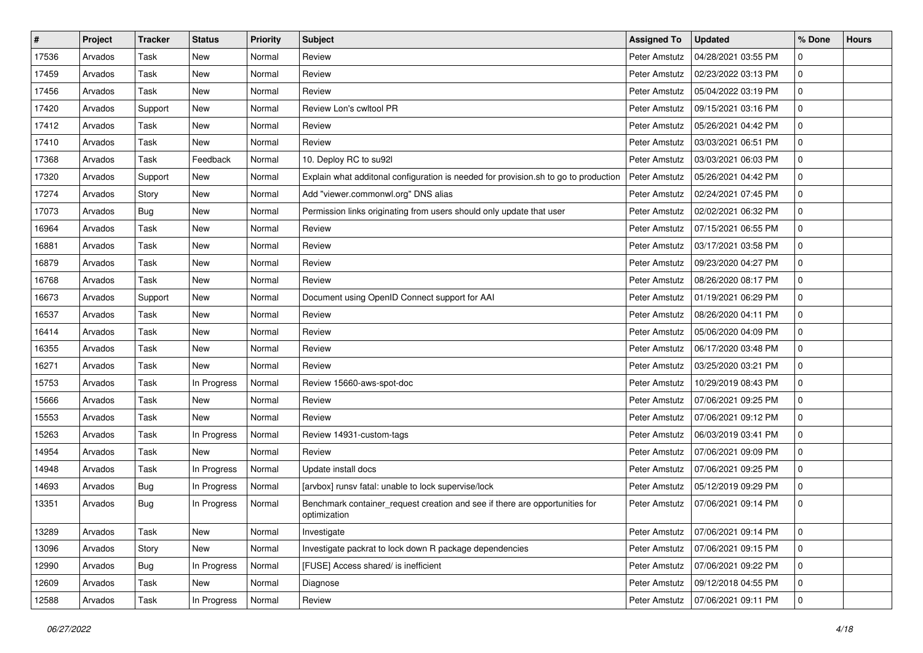| $\sharp$ | Project | <b>Tracker</b> | <b>Status</b> | <b>Priority</b> | <b>Subject</b>                                                                              | <b>Assigned To</b> | <b>Updated</b>      | % Done       | <b>Hours</b> |
|----------|---------|----------------|---------------|-----------------|---------------------------------------------------------------------------------------------|--------------------|---------------------|--------------|--------------|
| 17536    | Arvados | Task           | <b>New</b>    | Normal          | Review                                                                                      | Peter Amstutz      | 04/28/2021 03:55 PM | 0            |              |
| 17459    | Arvados | Task           | <b>New</b>    | Normal          | Review                                                                                      | Peter Amstutz      | 02/23/2022 03:13 PM | 0            |              |
| 17456    | Arvados | Task           | <b>New</b>    | Normal          | Review                                                                                      | Peter Amstutz      | 05/04/2022 03:19 PM | <sup>0</sup> |              |
| 17420    | Arvados | Support        | <b>New</b>    | Normal          | Review Lon's cwltool PR                                                                     | Peter Amstutz      | 09/15/2021 03:16 PM | $\Omega$     |              |
| 17412    | Arvados | Task           | New           | Normal          | Review                                                                                      | Peter Amstutz      | 05/26/2021 04:42 PM | $\Omega$     |              |
| 17410    | Arvados | Task           | New           | Normal          | Review                                                                                      | Peter Amstutz      | 03/03/2021 06:51 PM | <sup>0</sup> |              |
| 17368    | Arvados | Task           | Feedback      | Normal          | 10. Deploy RC to su92l                                                                      | Peter Amstutz      | 03/03/2021 06:03 PM | $\Omega$     |              |
| 17320    | Arvados | Support        | New           | Normal          | Explain what additonal configuration is needed for provision.sh to go to production         | Peter Amstutz      | 05/26/2021 04:42 PM | <sup>0</sup> |              |
| 17274    | Arvados | Story          | <b>New</b>    | Normal          | Add "viewer.commonwl.org" DNS alias                                                         | Peter Amstutz      | 02/24/2021 07:45 PM | $\Omega$     |              |
| 17073    | Arvados | Bug            | New           | Normal          | Permission links originating from users should only update that user                        | Peter Amstutz      | 02/02/2021 06:32 PM | $\Omega$     |              |
| 16964    | Arvados | Task           | New           | Normal          | Review                                                                                      | Peter Amstutz      | 07/15/2021 06:55 PM | 0            |              |
| 16881    | Arvados | Task           | <b>New</b>    | Normal          | Review                                                                                      | Peter Amstutz      | 03/17/2021 03:58 PM | $\Omega$     |              |
| 16879    | Arvados | Task           | New           | Normal          | Review                                                                                      | Peter Amstutz      | 09/23/2020 04:27 PM | $\Omega$     |              |
| 16768    | Arvados | Task           | <b>New</b>    | Normal          | Review                                                                                      | Peter Amstutz      | 08/26/2020 08:17 PM | 0            |              |
| 16673    | Arvados | Support        | <b>New</b>    | Normal          | Document using OpenID Connect support for AAI                                               | Peter Amstutz      | 01/19/2021 06:29 PM | $\Omega$     |              |
| 16537    | Arvados | Task           | <b>New</b>    | Normal          | Review                                                                                      | Peter Amstutz      | 08/26/2020 04:11 PM | <sup>0</sup> |              |
| 16414    | Arvados | Task           | <b>New</b>    | Normal          | Review                                                                                      | Peter Amstutz      | 05/06/2020 04:09 PM | $\Omega$     |              |
| 16355    | Arvados | Task           | New           | Normal          | Review                                                                                      | Peter Amstutz      | 06/17/2020 03:48 PM | $\Omega$     |              |
| 16271    | Arvados | Task           | New           | Normal          | Review                                                                                      | Peter Amstutz      | 03/25/2020 03:21 PM | 0            |              |
| 15753    | Arvados | Task           | In Progress   | Normal          | Review 15660-aws-spot-doc                                                                   | Peter Amstutz      | 10/29/2019 08:43 PM | 0            |              |
| 15666    | Arvados | Task           | New           | Normal          | Review                                                                                      | Peter Amstutz      | 07/06/2021 09:25 PM | 0            |              |
| 15553    | Arvados | Task           | New           | Normal          | Review                                                                                      | Peter Amstutz      | 07/06/2021 09:12 PM | $\Omega$     |              |
| 15263    | Arvados | Task           | In Progress   | Normal          | Review 14931-custom-tags                                                                    | Peter Amstutz      | 06/03/2019 03:41 PM | $\Omega$     |              |
| 14954    | Arvados | Task           | New           | Normal          | Review                                                                                      | Peter Amstutz      | 07/06/2021 09:09 PM | 0            |              |
| 14948    | Arvados | Task           | In Progress   | Normal          | Update install docs                                                                         | Peter Amstutz      | 07/06/2021 09:25 PM | $\Omega$     |              |
| 14693    | Arvados | Bug            | In Progress   | Normal          | [arvbox] runsv fatal: unable to lock supervise/lock                                         | Peter Amstutz      | 05/12/2019 09:29 PM | $\Omega$     |              |
| 13351    | Arvados | <b>Bug</b>     | In Progress   | Normal          | Benchmark container_request creation and see if there are opportunities for<br>optimization | Peter Amstutz      | 07/06/2021 09:14 PM | 0            |              |
| 13289    | Arvados | Task           | New           | Normal          | Investigate                                                                                 | Peter Amstutz      | 07/06/2021 09:14 PM | 0            |              |
| 13096    | Arvados | Story          | New           | Normal          | Investigate packrat to lock down R package dependencies                                     | Peter Amstutz      | 07/06/2021 09:15 PM | $\mathbf 0$  |              |
| 12990    | Arvados | Bug            | In Progress   | Normal          | [FUSE] Access shared/ is inefficient                                                        | Peter Amstutz      | 07/06/2021 09:22 PM | $\mathbf 0$  |              |
| 12609    | Arvados | Task           | New           | Normal          | Diagnose                                                                                    | Peter Amstutz      | 09/12/2018 04:55 PM | 0            |              |
| 12588    | Arvados | Task           | In Progress   | Normal          | Review                                                                                      | Peter Amstutz      | 07/06/2021 09:11 PM | $\Omega$     |              |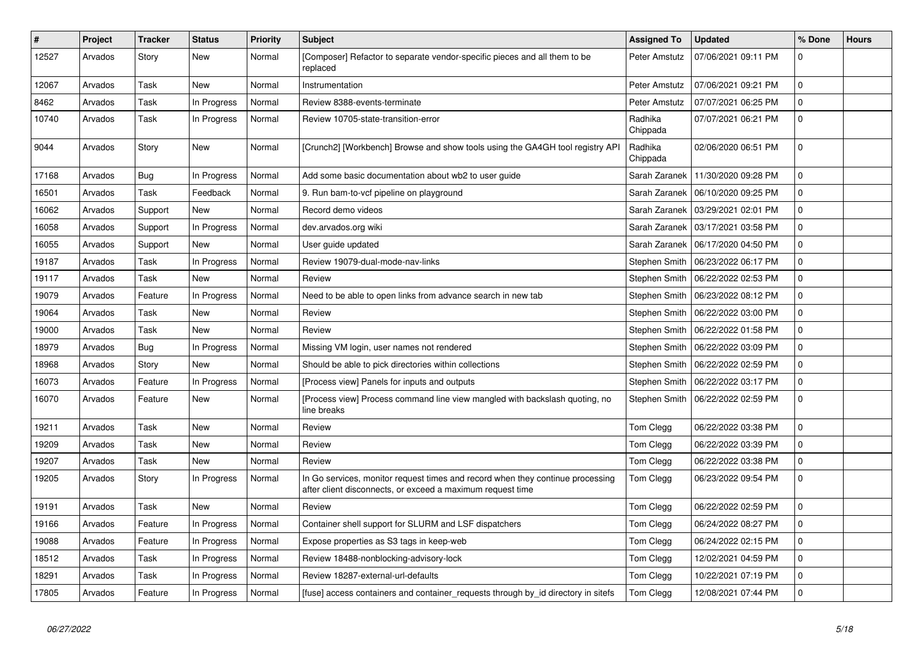| #     | Project | <b>Tracker</b> | <b>Status</b> | <b>Priority</b> | <b>Subject</b>                                                                                                                               | <b>Assigned To</b>  | <b>Updated</b>      | % Done       | <b>Hours</b> |
|-------|---------|----------------|---------------|-----------------|----------------------------------------------------------------------------------------------------------------------------------------------|---------------------|---------------------|--------------|--------------|
| 12527 | Arvados | Story          | New           | Normal          | [Composer] Refactor to separate vendor-specific pieces and all them to be<br>replaced                                                        | Peter Amstutz       | 07/06/2021 09:11 PM | <sup>0</sup> |              |
| 12067 | Arvados | Task           | <b>New</b>    | Normal          | Instrumentation                                                                                                                              | Peter Amstutz       | 07/06/2021 09:21 PM | $\Omega$     |              |
| 8462  | Arvados | Task           | In Progress   | Normal          | Review 8388-events-terminate                                                                                                                 | Peter Amstutz       | 07/07/2021 06:25 PM | $\Omega$     |              |
| 10740 | Arvados | Task           | In Progress   | Normal          | Review 10705-state-transition-error                                                                                                          | Radhika<br>Chippada | 07/07/2021 06:21 PM | 0            |              |
| 9044  | Arvados | Story          | <b>New</b>    | Normal          | [Crunch2] [Workbench] Browse and show tools using the GA4GH tool registry API                                                                | Radhika<br>Chippada | 02/06/2020 06:51 PM | 0            |              |
| 17168 | Arvados | Bug            | In Progress   | Normal          | Add some basic documentation about wb2 to user guide                                                                                         | Sarah Zaranek       | 11/30/2020 09:28 PM | $\Omega$     |              |
| 16501 | Arvados | Task           | Feedback      | Normal          | 9. Run bam-to-vcf pipeline on playground                                                                                                     | Sarah Zaranek       | 06/10/2020 09:25 PM | $\Omega$     |              |
| 16062 | Arvados | Support        | New           | Normal          | Record demo videos                                                                                                                           | Sarah Zaranek       | 03/29/2021 02:01 PM | $\Omega$     |              |
| 16058 | Arvados | Support        | In Progress   | Normal          | dev.arvados.org wiki                                                                                                                         | Sarah Zaranek       | 03/17/2021 03:58 PM | $\Omega$     |              |
| 16055 | Arvados | Support        | <b>New</b>    | Normal          | User guide updated                                                                                                                           | Sarah Zaranek       | 06/17/2020 04:50 PM | $\Omega$     |              |
| 19187 | Arvados | Task           | In Progress   | Normal          | Review 19079-dual-mode-nav-links                                                                                                             | Stephen Smith       | 06/23/2022 06:17 PM | $\Omega$     |              |
| 19117 | Arvados | Task           | <b>New</b>    | Normal          | Review                                                                                                                                       | Stephen Smith       | 06/22/2022 02:53 PM | $\Omega$     |              |
| 19079 | Arvados | Feature        | In Progress   | Normal          | Need to be able to open links from advance search in new tab                                                                                 | Stephen Smith       | 06/23/2022 08:12 PM | $\Omega$     |              |
| 19064 | Arvados | Task           | <b>New</b>    | Normal          | Review                                                                                                                                       | Stephen Smith       | 06/22/2022 03:00 PM | <sup>0</sup> |              |
| 19000 | Arvados | Task           | <b>New</b>    | Normal          | Review                                                                                                                                       | Stephen Smith       | 06/22/2022 01:58 PM | $\Omega$     |              |
| 18979 | Arvados | Bug            | In Progress   | Normal          | Missing VM login, user names not rendered                                                                                                    | Stephen Smith       | 06/22/2022 03:09 PM | 0            |              |
| 18968 | Arvados | Story          | <b>New</b>    | Normal          | Should be able to pick directories within collections                                                                                        | Stephen Smith       | 06/22/2022 02:59 PM | $\Omega$     |              |
| 16073 | Arvados | Feature        | In Progress   | Normal          | [Process view] Panels for inputs and outputs                                                                                                 | Stephen Smith       | 06/22/2022 03:17 PM | 0            |              |
| 16070 | Arvados | Feature        | <b>New</b>    | Normal          | [Process view] Process command line view mangled with backslash quoting, no<br>line breaks                                                   | Stephen Smith       | 06/22/2022 02:59 PM | $\Omega$     |              |
| 19211 | Arvados | Task           | <b>New</b>    | Normal          | Review                                                                                                                                       | Tom Clegg           | 06/22/2022 03:38 PM | $\Omega$     |              |
| 19209 | Arvados | Task           | <b>New</b>    | Normal          | Review                                                                                                                                       | Tom Clegg           | 06/22/2022 03:39 PM | $\Omega$     |              |
| 19207 | Arvados | Task           | <b>New</b>    | Normal          | Review                                                                                                                                       | Tom Clegg           | 06/22/2022 03:38 PM | 0            |              |
| 19205 | Arvados | Story          | In Progress   | Normal          | In Go services, monitor request times and record when they continue processing<br>after client disconnects, or exceed a maximum request time | Tom Clegg           | 06/23/2022 09:54 PM | U            |              |
| 19191 | Arvados | Task           | <b>New</b>    | Normal          | Review                                                                                                                                       | Tom Clegg           | 06/22/2022 02:59 PM | 0            |              |
| 19166 | Arvados | Feature        | In Progress   | Normal          | Container shell support for SLURM and LSF dispatchers                                                                                        | Tom Clegg           | 06/24/2022 08:27 PM | $\Omega$     |              |
| 19088 | Arvados | Feature        | In Progress   | Normal          | Expose properties as S3 tags in keep-web                                                                                                     | Tom Clegg           | 06/24/2022 02:15 PM | <sup>0</sup> |              |
| 18512 | Arvados | Task           | In Progress   | Normal          | Review 18488-nonblocking-advisory-lock                                                                                                       | Tom Clegg           | 12/02/2021 04:59 PM | $\Omega$     |              |
| 18291 | Arvados | Task           | In Progress   | Normal          | Review 18287-external-url-defaults                                                                                                           | Tom Clegg           | 10/22/2021 07:19 PM | $\Omega$     |              |
| 17805 | Arvados | Feature        | In Progress   | Normal          | [fuse] access containers and container_requests through by_id directory in sitefs                                                            | Tom Clegg           | 12/08/2021 07:44 PM | $\Omega$     |              |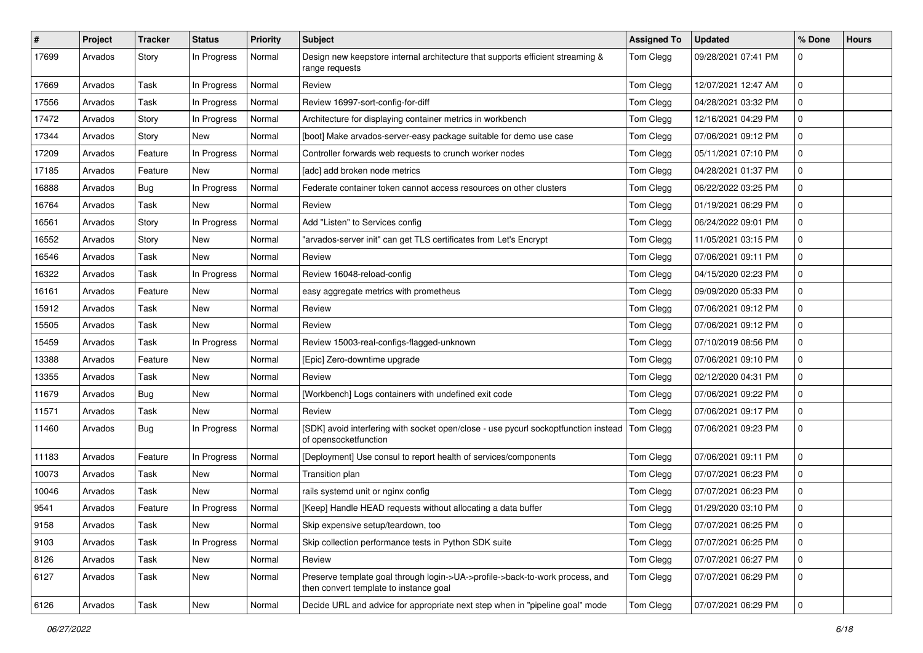| ∦     | Project | <b>Tracker</b> | <b>Status</b> | <b>Priority</b> | Subject                                                                                                                | <b>Assigned To</b> | <b>Updated</b>      | % Done         | <b>Hours</b> |
|-------|---------|----------------|---------------|-----------------|------------------------------------------------------------------------------------------------------------------------|--------------------|---------------------|----------------|--------------|
| 17699 | Arvados | Story          | In Progress   | Normal          | Design new keepstore internal architecture that supports efficient streaming &<br>range requests                       | Tom Clegg          | 09/28/2021 07:41 PM | $\mathbf 0$    |              |
| 17669 | Arvados | Task           | In Progress   | Normal          | Review                                                                                                                 | Tom Clegg          | 12/07/2021 12:47 AM | $\mathbf 0$    |              |
| 17556 | Arvados | Task           | In Progress   | Normal          | Review 16997-sort-config-for-diff                                                                                      | Tom Clegg          | 04/28/2021 03:32 PM | $\mathbf 0$    |              |
| 17472 | Arvados | Story          | In Progress   | Normal          | Architecture for displaying container metrics in workbench                                                             | Tom Clegg          | 12/16/2021 04:29 PM | $\mathbf 0$    |              |
| 17344 | Arvados | Story          | New           | Normal          | [boot] Make arvados-server-easy package suitable for demo use case                                                     | Tom Clegg          | 07/06/2021 09:12 PM | $\mathbf 0$    |              |
| 17209 | Arvados | Feature        | In Progress   | Normal          | Controller forwards web requests to crunch worker nodes                                                                | Tom Clegg          | 05/11/2021 07:10 PM | $\overline{0}$ |              |
| 17185 | Arvados | Feature        | New           | Normal          | [adc] add broken node metrics                                                                                          | Tom Clegg          | 04/28/2021 01:37 PM | $\mathbf 0$    |              |
| 16888 | Arvados | Bug            | In Progress   | Normal          | Federate container token cannot access resources on other clusters                                                     | Tom Clegg          | 06/22/2022 03:25 PM | $\mathbf 0$    |              |
| 16764 | Arvados | Task           | <b>New</b>    | Normal          | Review                                                                                                                 | Tom Clegg          | 01/19/2021 06:29 PM | $\mathbf 0$    |              |
| 16561 | Arvados | Story          | In Progress   | Normal          | Add "Listen" to Services config                                                                                        | Tom Clegg          | 06/24/2022 09:01 PM | $\mathbf 0$    |              |
| 16552 | Arvados | Story          | New           | Normal          | "arvados-server init" can get TLS certificates from Let's Encrypt                                                      | Tom Clegg          | 11/05/2021 03:15 PM | $\overline{0}$ |              |
| 16546 | Arvados | Task           | <b>New</b>    | Normal          | Review                                                                                                                 | Tom Clegg          | 07/06/2021 09:11 PM | $\mathbf 0$    |              |
| 16322 | Arvados | Task           | In Progress   | Normal          | Review 16048-reload-config                                                                                             | Tom Clegg          | 04/15/2020 02:23 PM | $\mathbf 0$    |              |
| 16161 | Arvados | Feature        | New           | Normal          | easy aggregate metrics with prometheus                                                                                 | Tom Clegg          | 09/09/2020 05:33 PM | $\mathbf 0$    |              |
| 15912 | Arvados | Task           | <b>New</b>    | Normal          | Review                                                                                                                 | Tom Clegg          | 07/06/2021 09:12 PM | $\mathbf 0$    |              |
| 15505 | Arvados | Task           | New           | Normal          | Review                                                                                                                 | Tom Clegg          | 07/06/2021 09:12 PM | $\mathbf 0$    |              |
| 15459 | Arvados | Task           | In Progress   | Normal          | Review 15003-real-configs-flagged-unknown                                                                              | Tom Clegg          | 07/10/2019 08:56 PM | $\mathbf 0$    |              |
| 13388 | Arvados | Feature        | New           | Normal          | [Epic] Zero-downtime upgrade                                                                                           | Tom Clegg          | 07/06/2021 09:10 PM | $\mathbf 0$    |              |
| 13355 | Arvados | Task           | <b>New</b>    | Normal          | Review                                                                                                                 | Tom Clegg          | 02/12/2020 04:31 PM | $\mathbf{0}$   |              |
| 11679 | Arvados | Bug            | New           | Normal          | [Workbench] Logs containers with undefined exit code                                                                   | Tom Clegg          | 07/06/2021 09:22 PM | $\mathbf 0$    |              |
| 11571 | Arvados | Task           | New           | Normal          | Review                                                                                                                 | Tom Clegg          | 07/06/2021 09:17 PM | $\mathbf 0$    |              |
| 11460 | Arvados | Bug            | In Progress   | Normal          | [SDK] avoid interfering with socket open/close - use pycurl sockoptfunction instead<br>of opensocketfunction           | Tom Clegg          | 07/06/2021 09:23 PM | $\overline{0}$ |              |
| 11183 | Arvados | Feature        | In Progress   | Normal          | [Deployment] Use consul to report health of services/components                                                        | Tom Clegg          | 07/06/2021 09:11 PM | $\mathbf 0$    |              |
| 10073 | Arvados | Task           | New           | Normal          | Transition plan                                                                                                        | Tom Clegg          | 07/07/2021 06:23 PM | $\mathbf 0$    |              |
| 10046 | Arvados | Task           | <b>New</b>    | Normal          | rails systemd unit or nginx config                                                                                     | Tom Clegg          | 07/07/2021 06:23 PM | $\mathbf 0$    |              |
| 9541  | Arvados | Feature        | In Progress   | Normal          | [Keep] Handle HEAD requests without allocating a data buffer                                                           | Tom Clegg          | 01/29/2020 03:10 PM | $\mathbf 0$    |              |
| 9158  | Arvados | Task           | New           | Normal          | Skip expensive setup/teardown, too                                                                                     | Tom Clegg          | 07/07/2021 06:25 PM | 10             |              |
| 9103  | Arvados | Task           | In Progress   | Normal          | Skip collection performance tests in Python SDK suite                                                                  | Tom Clegg          | 07/07/2021 06:25 PM | $\mathbf 0$    |              |
| 8126  | Arvados | Task           | <b>New</b>    | Normal          | Review                                                                                                                 | Tom Clegg          | 07/07/2021 06:27 PM | $\mathbf 0$    |              |
| 6127  | Arvados | Task           | New           | Normal          | Preserve template goal through login->UA->profile->back-to-work process, and<br>then convert template to instance goal | Tom Clegg          | 07/07/2021 06:29 PM | $\mathbf 0$    |              |
| 6126  | Arvados | Task           | New           | Normal          | Decide URL and advice for appropriate next step when in "pipeline goal" mode                                           | Tom Clegg          | 07/07/2021 06:29 PM | $\mathbf 0$    |              |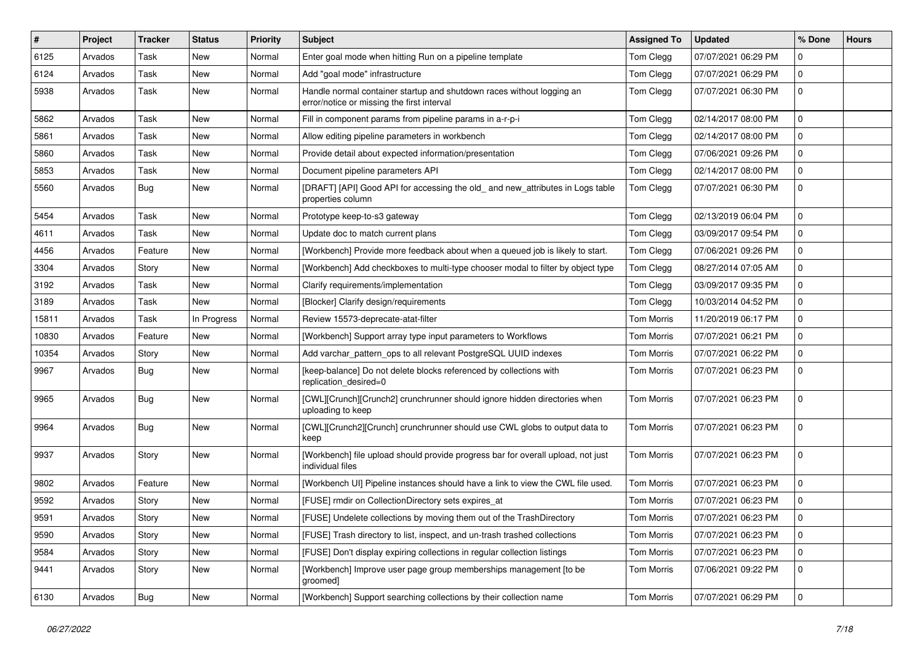| $\sharp$ | Project | <b>Tracker</b> | <b>Status</b> | <b>Priority</b> | <b>Subject</b>                                                                                                      | <b>Assigned To</b> | <b>Updated</b>      | % Done       | <b>Hours</b> |
|----------|---------|----------------|---------------|-----------------|---------------------------------------------------------------------------------------------------------------------|--------------------|---------------------|--------------|--------------|
| 6125     | Arvados | Task           | New           | Normal          | Enter goal mode when hitting Run on a pipeline template                                                             | Tom Clegg          | 07/07/2021 06:29 PM | 0            |              |
| 6124     | Arvados | Task           | New           | Normal          | Add "goal mode" infrastructure                                                                                      | Tom Clegg          | 07/07/2021 06:29 PM | <sup>0</sup> |              |
| 5938     | Arvados | Task           | New           | Normal          | Handle normal container startup and shutdown races without logging an<br>error/notice or missing the first interval | Tom Clegg          | 07/07/2021 06:30 PM | 0            |              |
| 5862     | Arvados | Task           | <b>New</b>    | Normal          | Fill in component params from pipeline params in a-r-p-i                                                            | Tom Clegg          | 02/14/2017 08:00 PM | 0            |              |
| 5861     | Arvados | Task           | New           | Normal          | Allow editing pipeline parameters in workbench                                                                      | Tom Clegg          | 02/14/2017 08:00 PM | <sup>0</sup> |              |
| 5860     | Arvados | Task           | New           | Normal          | Provide detail about expected information/presentation                                                              | Tom Clegg          | 07/06/2021 09:26 PM | <sup>0</sup> |              |
| 5853     | Arvados | Task           | <b>New</b>    | Normal          | Document pipeline parameters API                                                                                    | Tom Clegg          | 02/14/2017 08:00 PM | $\Omega$     |              |
| 5560     | Arvados | Bug            | New           | Normal          | [DRAFT] [API] Good API for accessing the old_ and new_attributes in Logs table<br>properties column                 | Tom Clegg          | 07/07/2021 06:30 PM | $\Omega$     |              |
| 5454     | Arvados | Task           | <b>New</b>    | Normal          | Prototype keep-to-s3 gateway                                                                                        | Tom Clegg          | 02/13/2019 06:04 PM | <sup>0</sup> |              |
| 4611     | Arvados | Task           | New           | Normal          | Update doc to match current plans                                                                                   | Tom Clegg          | 03/09/2017 09:54 PM | $\Omega$     |              |
| 4456     | Arvados | Feature        | New           | Normal          | [Workbench] Provide more feedback about when a queued job is likely to start.                                       | Tom Clegg          | 07/06/2021 09:26 PM | 0            |              |
| 3304     | Arvados | Story          | New           | Normal          | [Workbench] Add checkboxes to multi-type chooser modal to filter by object type                                     | Tom Clegg          | 08/27/2014 07:05 AM | <sup>0</sup> |              |
| 3192     | Arvados | Task           | New           | Normal          | Clarify requirements/implementation                                                                                 | Tom Clegg          | 03/09/2017 09:35 PM | 0            |              |
| 3189     | Arvados | Task           | New           | Normal          | [Blocker] Clarify design/requirements                                                                               | Tom Clegg          | 10/03/2014 04:52 PM | <sup>0</sup> |              |
| 15811    | Arvados | Task           | In Progress   | Normal          | Review 15573-deprecate-atat-filter                                                                                  | <b>Tom Morris</b>  | 11/20/2019 06:17 PM | $\Omega$     |              |
| 10830    | Arvados | Feature        | New           | Normal          | [Workbench] Support array type input parameters to Workflows                                                        | <b>Tom Morris</b>  | 07/07/2021 06:21 PM | <sup>0</sup> |              |
| 10354    | Arvados | Story          | New           | Normal          | Add varchar_pattern_ops to all relevant PostgreSQL UUID indexes                                                     | <b>Tom Morris</b>  | 07/07/2021 06:22 PM | U            |              |
| 9967     | Arvados | Bug            | New           | Normal          | [keep-balance] Do not delete blocks referenced by collections with<br>replication_desired=0                         | <b>Tom Morris</b>  | 07/07/2021 06:23 PM | <sup>0</sup> |              |
| 9965     | Arvados | Bug            | New           | Normal          | [CWL][Crunch][Crunch2] crunchrunner should ignore hidden directories when<br>uploading to keep                      | Tom Morris         | 07/07/2021 06:23 PM | <sup>0</sup> |              |
| 9964     | Arvados | Bug            | New           | Normal          | [CWL][Crunch2][Crunch] crunchrunner should use CWL globs to output data to<br>keep                                  | <b>Tom Morris</b>  | 07/07/2021 06:23 PM | $\Omega$     |              |
| 9937     | Arvados | Story          | New           | Normal          | [Workbench] file upload should provide progress bar for overall upload, not just<br>individual files                | Tom Morris         | 07/07/2021 06:23 PM | $\Omega$     |              |
| 9802     | Arvados | Feature        | New           | Normal          | [Workbench UI] Pipeline instances should have a link to view the CWL file used.                                     | <b>Tom Morris</b>  | 07/07/2021 06:23 PM | $\Omega$     |              |
| 9592     | Arvados | Story          | New           | Normal          | [FUSE] rmdir on CollectionDirectory sets expires_at                                                                 | <b>Tom Morris</b>  | 07/07/2021 06:23 PM | 0            |              |
| 9591     | Arvados | Story          | New           | Normal          | [FUSE] Undelete collections by moving them out of the TrashDirectory                                                | Tom Morris         | 07/07/2021 06:23 PM | $\Omega$     |              |
| 9590     | Arvados | Story          | New           | Normal          | [FUSE] Trash directory to list, inspect, and un-trash trashed collections                                           | Tom Morris         | 07/07/2021 06:23 PM | $\mathbf 0$  |              |
| 9584     | Arvados | Story          | New           | Normal          | [FUSE] Don't display expiring collections in regular collection listings                                            | Tom Morris         | 07/07/2021 06:23 PM | 0            |              |
| 9441     | Arvados | Story          | New           | Normal          | [Workbench] Improve user page group memberships management [to be<br>groomed]                                       | Tom Morris         | 07/06/2021 09:22 PM | 0            |              |
| 6130     | Arvados | <b>Bug</b>     | New           | Normal          | [Workbench] Support searching collections by their collection name                                                  | Tom Morris         | 07/07/2021 06:29 PM | $\Omega$     |              |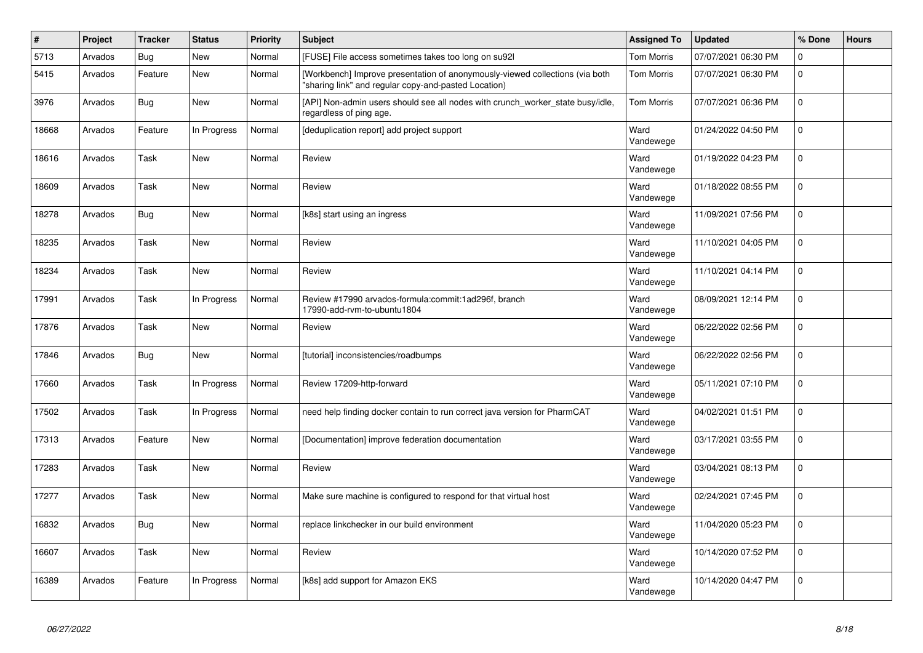| $\#$  | Project | <b>Tracker</b> | <b>Status</b> | <b>Priority</b> | <b>Subject</b>                                                                                                                       | <b>Assigned To</b> | <b>Updated</b>      | % Done   | <b>Hours</b> |
|-------|---------|----------------|---------------|-----------------|--------------------------------------------------------------------------------------------------------------------------------------|--------------------|---------------------|----------|--------------|
| 5713  | Arvados | Bug            | <b>New</b>    | Normal          | [FUSE] File access sometimes takes too long on su92l                                                                                 | <b>Tom Morris</b>  | 07/07/2021 06:30 PM | $\Omega$ |              |
| 5415  | Arvados | Feature        | <b>New</b>    | Normal          | [Workbench] Improve presentation of anonymously-viewed collections (via both<br>"sharing link" and regular copy-and-pasted Location) | <b>Tom Morris</b>  | 07/07/2021 06:30 PM | $\Omega$ |              |
| 3976  | Arvados | <b>Bug</b>     | <b>New</b>    | Normal          | [API] Non-admin users should see all nodes with crunch_worker_state busy/idle,<br>regardless of ping age.                            | Tom Morris         | 07/07/2021 06:36 PM | $\Omega$ |              |
| 18668 | Arvados | Feature        | In Progress   | Normal          | [deduplication report] add project support                                                                                           | Ward<br>Vandewege  | 01/24/2022 04:50 PM | 0        |              |
| 18616 | Arvados | Task           | <b>New</b>    | Normal          | Review                                                                                                                               | Ward<br>Vandewege  | 01/19/2022 04:23 PM | $\Omega$ |              |
| 18609 | Arvados | Task           | <b>New</b>    | Normal          | Review                                                                                                                               | Ward<br>Vandewege  | 01/18/2022 08:55 PM | $\Omega$ |              |
| 18278 | Arvados | <b>Bug</b>     | <b>New</b>    | Normal          | [k8s] start using an ingress                                                                                                         | Ward<br>Vandewege  | 11/09/2021 07:56 PM | 0        |              |
| 18235 | Arvados | Task           | New           | Normal          | Review                                                                                                                               | Ward<br>Vandewege  | 11/10/2021 04:05 PM | $\Omega$ |              |
| 18234 | Arvados | Task           | <b>New</b>    | Normal          | Review                                                                                                                               | Ward<br>Vandewege  | 11/10/2021 04:14 PM | 0        |              |
| 17991 | Arvados | Task           | In Progress   | Normal          | Review #17990 arvados-formula:commit:1ad296f, branch<br>17990-add-rym-to-ubuntu1804                                                  | Ward<br>Vandewege  | 08/09/2021 12:14 PM | $\Omega$ |              |
| 17876 | Arvados | Task           | <b>New</b>    | Normal          | Review                                                                                                                               | Ward<br>Vandewege  | 06/22/2022 02:56 PM | 0        |              |
| 17846 | Arvados | Bug            | <b>New</b>    | Normal          | [tutorial] inconsistencies/roadbumps                                                                                                 | Ward<br>Vandewege  | 06/22/2022 02:56 PM | $\Omega$ |              |
| 17660 | Arvados | Task           | In Progress   | Normal          | Review 17209-http-forward                                                                                                            | Ward<br>Vandewege  | 05/11/2021 07:10 PM | $\Omega$ |              |
| 17502 | Arvados | Task           | In Progress   | Normal          | need help finding docker contain to run correct java version for PharmCAT                                                            | Ward<br>Vandewege  | 04/02/2021 01:51 PM | $\Omega$ |              |
| 17313 | Arvados | Feature        | New           | Normal          | [Documentation] improve federation documentation                                                                                     | Ward<br>Vandewege  | 03/17/2021 03:55 PM | $\Omega$ |              |
| 17283 | Arvados | Task           | <b>New</b>    | Normal          | Review                                                                                                                               | Ward<br>Vandewege  | 03/04/2021 08:13 PM | $\Omega$ |              |
| 17277 | Arvados | Task           | <b>New</b>    | Normal          | Make sure machine is configured to respond for that virtual host                                                                     | Ward<br>Vandewege  | 02/24/2021 07:45 PM | 0        |              |
| 16832 | Arvados | Bug            | <b>New</b>    | Normal          | replace linkchecker in our build environment                                                                                         | Ward<br>Vandewege  | 11/04/2020 05:23 PM | $\Omega$ |              |
| 16607 | Arvados | Task           | New           | Normal          | Review                                                                                                                               | Ward<br>Vandewege  | 10/14/2020 07:52 PM | $\Omega$ |              |
| 16389 | Arvados | Feature        | In Progress   | Normal          | [k8s] add support for Amazon EKS                                                                                                     | Ward<br>Vandewege  | 10/14/2020 04:47 PM | 0        |              |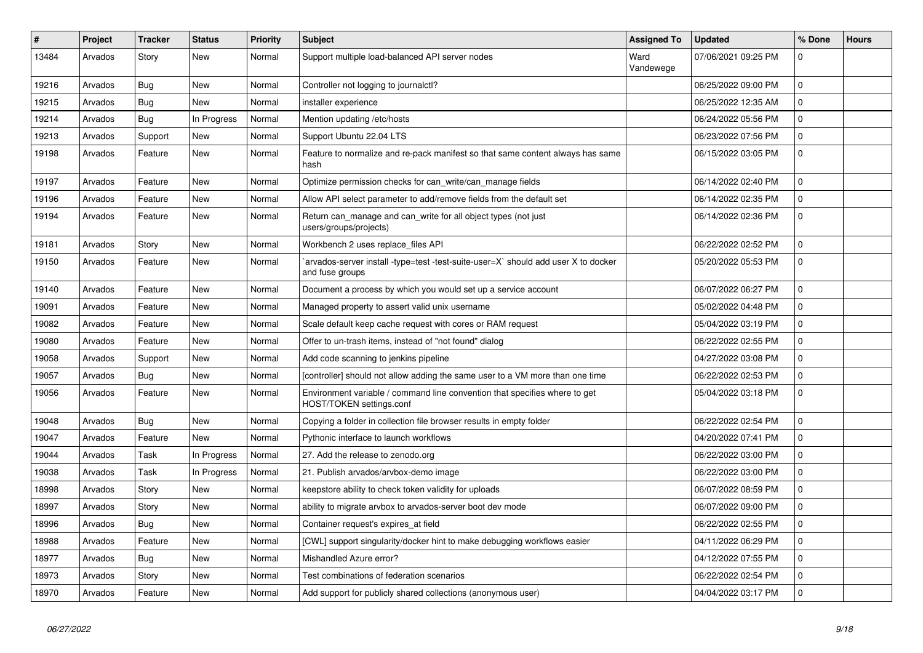| #     | Project | <b>Tracker</b> | <b>Status</b> | <b>Priority</b> | <b>Subject</b>                                                                                         | <b>Assigned To</b> | <b>Updated</b>      | % Done         | <b>Hours</b> |
|-------|---------|----------------|---------------|-----------------|--------------------------------------------------------------------------------------------------------|--------------------|---------------------|----------------|--------------|
| 13484 | Arvados | Story          | New           | Normal          | Support multiple load-balanced API server nodes                                                        | Ward<br>Vandewege  | 07/06/2021 09:25 PM | $\mathbf 0$    |              |
| 19216 | Arvados | Bug            | <b>New</b>    | Normal          | Controller not logging to journalctl?                                                                  |                    | 06/25/2022 09:00 PM | $\Omega$       |              |
| 19215 | Arvados | Bug            | New           | Normal          | installer experience                                                                                   |                    | 06/25/2022 12:35 AM | $\overline{0}$ |              |
| 19214 | Arvados | Bug            | In Progress   | Normal          | Mention updating /etc/hosts                                                                            |                    | 06/24/2022 05:56 PM | $\Omega$       |              |
| 19213 | Arvados | Support        | New           | Normal          | Support Ubuntu 22.04 LTS                                                                               |                    | 06/23/2022 07:56 PM | $\overline{0}$ |              |
| 19198 | Arvados | Feature        | New           | Normal          | Feature to normalize and re-pack manifest so that same content always has same<br>hash                 |                    | 06/15/2022 03:05 PM | $\mathbf{0}$   |              |
| 19197 | Arvados | Feature        | <b>New</b>    | Normal          | Optimize permission checks for can_write/can_manage fields                                             |                    | 06/14/2022 02:40 PM | $\overline{0}$ |              |
| 19196 | Arvados | Feature        | <b>New</b>    | Normal          | Allow API select parameter to add/remove fields from the default set                                   |                    | 06/14/2022 02:35 PM | $\mathbf{0}$   |              |
| 19194 | Arvados | Feature        | <b>New</b>    | Normal          | Return can_manage and can_write for all object types (not just<br>users/groups/projects)               |                    | 06/14/2022 02:36 PM | $\mathbf 0$    |              |
| 19181 | Arvados | Story          | <b>New</b>    | Normal          | Workbench 2 uses replace files API                                                                     |                    | 06/22/2022 02:52 PM | $\Omega$       |              |
| 19150 | Arvados | Feature        | <b>New</b>    | Normal          | arvados-server install -type=test -test-suite-user=X` should add user X to docker<br>and fuse groups   |                    | 05/20/2022 05:53 PM | $\mathbf{0}$   |              |
| 19140 | Arvados | Feature        | <b>New</b>    | Normal          | Document a process by which you would set up a service account                                         |                    | 06/07/2022 06:27 PM | $\mathbf 0$    |              |
| 19091 | Arvados | Feature        | New           | Normal          | Managed property to assert valid unix username                                                         |                    | 05/02/2022 04:48 PM | $\mathbf 0$    |              |
| 19082 | Arvados | Feature        | <b>New</b>    | Normal          | Scale default keep cache request with cores or RAM request                                             |                    | 05/04/2022 03:19 PM | $\mathbf 0$    |              |
| 19080 | Arvados | Feature        | <b>New</b>    | Normal          | Offer to un-trash items, instead of "not found" dialog                                                 |                    | 06/22/2022 02:55 PM | $\mathbf{0}$   |              |
| 19058 | Arvados | Support        | New           | Normal          | Add code scanning to jenkins pipeline                                                                  |                    | 04/27/2022 03:08 PM | $\mathbf{0}$   |              |
| 19057 | Arvados | <b>Bug</b>     | <b>New</b>    | Normal          | [controller] should not allow adding the same user to a VM more than one time                          |                    | 06/22/2022 02:53 PM | $\mathbf 0$    |              |
| 19056 | Arvados | Feature        | <b>New</b>    | Normal          | Environment variable / command line convention that specifies where to get<br>HOST/TOKEN settings.conf |                    | 05/04/2022 03:18 PM | $\overline{0}$ |              |
| 19048 | Arvados | Bug            | <b>New</b>    | Normal          | Copying a folder in collection file browser results in empty folder                                    |                    | 06/22/2022 02:54 PM | $\mathbf 0$    |              |
| 19047 | Arvados | Feature        | <b>New</b>    | Normal          | Pythonic interface to launch workflows                                                                 |                    | 04/20/2022 07:41 PM | $\mathbf{0}$   |              |
| 19044 | Arvados | Task           | In Progress   | Normal          | 27. Add the release to zenodo.org                                                                      |                    | 06/22/2022 03:00 PM | $\mathbf 0$    |              |
| 19038 | Arvados | Task           | In Progress   | Normal          | 21. Publish arvados/arvbox-demo image                                                                  |                    | 06/22/2022 03:00 PM | $\overline{0}$ |              |
| 18998 | Arvados | Story          | <b>New</b>    | Normal          | keepstore ability to check token validity for uploads                                                  |                    | 06/07/2022 08:59 PM | $\mathbf 0$    |              |
| 18997 | Arvados | Story          | <b>New</b>    | Normal          | ability to migrate arvbox to arvados-server boot dev mode                                              |                    | 06/07/2022 09:00 PM | $\overline{0}$ |              |
| 18996 | Arvados | Bug            | <b>New</b>    | Normal          | Container request's expires at field                                                                   |                    | 06/22/2022 02:55 PM | $\overline{0}$ |              |
| 18988 | Arvados | Feature        | New           | Normal          | [CWL] support singularity/docker hint to make debugging workflows easier                               |                    | 04/11/2022 06:29 PM | $\overline{0}$ |              |
| 18977 | Arvados | <b>Bug</b>     | <b>New</b>    | Normal          | Mishandled Azure error?                                                                                |                    | 04/12/2022 07:55 PM | $\Omega$       |              |
| 18973 | Arvados | Story          | <b>New</b>    | Normal          | Test combinations of federation scenarios                                                              |                    | 06/22/2022 02:54 PM | $\overline{0}$ |              |
| 18970 | Arvados | Feature        | New           | Normal          | Add support for publicly shared collections (anonymous user)                                           |                    | 04/04/2022 03:17 PM | $\overline{0}$ |              |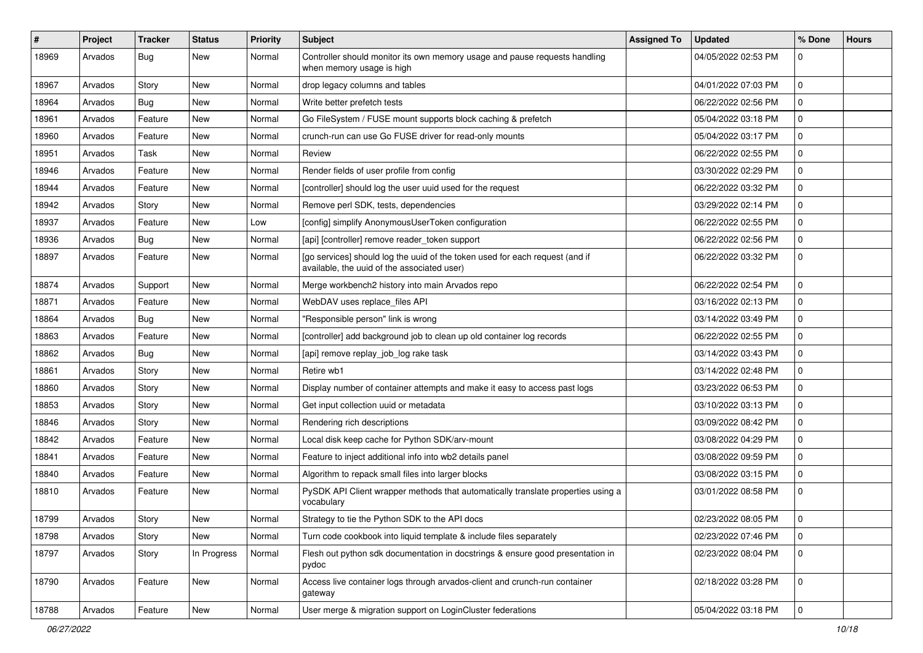| #     | Project | <b>Tracker</b> | <b>Status</b> | <b>Priority</b> | <b>Subject</b>                                                                                                              | <b>Assigned To</b> | <b>Updated</b>      | % Done         | <b>Hours</b> |
|-------|---------|----------------|---------------|-----------------|-----------------------------------------------------------------------------------------------------------------------------|--------------------|---------------------|----------------|--------------|
| 18969 | Arvados | <b>Bug</b>     | New           | Normal          | Controller should monitor its own memory usage and pause requests handling<br>when memory usage is high                     |                    | 04/05/2022 02:53 PM |                |              |
| 18967 | Arvados | Story          | <b>New</b>    | Normal          | drop legacy columns and tables                                                                                              |                    | 04/01/2022 07:03 PM | $\Omega$       |              |
| 18964 | Arvados | Bug            | <b>New</b>    | Normal          | Write better prefetch tests                                                                                                 |                    | 06/22/2022 02:56 PM | $\Omega$       |              |
| 18961 | Arvados | Feature        | New           | Normal          | Go FileSystem / FUSE mount supports block caching & prefetch                                                                |                    | 05/04/2022 03:18 PM | $\Omega$       |              |
| 18960 | Arvados | Feature        | <b>New</b>    | Normal          | crunch-run can use Go FUSE driver for read-only mounts                                                                      |                    | 05/04/2022 03:17 PM | $\Omega$       |              |
| 18951 | Arvados | Task           | <b>New</b>    | Normal          | Review                                                                                                                      |                    | 06/22/2022 02:55 PM | $\Omega$       |              |
| 18946 | Arvados | Feature        | <b>New</b>    | Normal          | Render fields of user profile from config                                                                                   |                    | 03/30/2022 02:29 PM | $\Omega$       |              |
| 18944 | Arvados | Feature        | New           | Normal          | [controller] should log the user uuid used for the request                                                                  |                    | 06/22/2022 03:32 PM | $\Omega$       |              |
| 18942 | Arvados | Story          | <b>New</b>    | Normal          | Remove perl SDK, tests, dependencies                                                                                        |                    | 03/29/2022 02:14 PM | $\Omega$       |              |
| 18937 | Arvados | Feature        | New           | Low             | [config] simplify AnonymousUserToken configuration                                                                          |                    | 06/22/2022 02:55 PM | <sup>0</sup>   |              |
| 18936 | Arvados | Bug            | New           | Normal          | [api] [controller] remove reader_token support                                                                              |                    | 06/22/2022 02:56 PM | $\Omega$       |              |
| 18897 | Arvados | Feature        | New           | Normal          | [go services] should log the uuid of the token used for each request (and if<br>available, the uuid of the associated user) |                    | 06/22/2022 03:32 PM | $\mathbf 0$    |              |
| 18874 | Arvados | Support        | <b>New</b>    | Normal          | Merge workbench2 history into main Arvados repo                                                                             |                    | 06/22/2022 02:54 PM | $\mathbf{0}$   |              |
| 18871 | Arvados | Feature        | <b>New</b>    | Normal          | WebDAV uses replace_files API                                                                                               |                    | 03/16/2022 02:13 PM | $\Omega$       |              |
| 18864 | Arvados | Bug            | New           | Normal          | "Responsible person" link is wrong                                                                                          |                    | 03/14/2022 03:49 PM | $\Omega$       |              |
| 18863 | Arvados | Feature        | <b>New</b>    | Normal          | [controller] add background job to clean up old container log records                                                       |                    | 06/22/2022 02:55 PM | $\Omega$       |              |
| 18862 | Arvados | <b>Bug</b>     | New           | Normal          | [api] remove replay_job_log rake task                                                                                       |                    | 03/14/2022 03:43 PM | $\Omega$       |              |
| 18861 | Arvados | Story          | New           | Normal          | Retire wb1                                                                                                                  |                    | 03/14/2022 02:48 PM | $\Omega$       |              |
| 18860 | Arvados | Story          | New           | Normal          | Display number of container attempts and make it easy to access past logs                                                   |                    | 03/23/2022 06:53 PM | $\mathbf{0}$   |              |
| 18853 | Arvados | Story          | <b>New</b>    | Normal          | Get input collection uuid or metadata                                                                                       |                    | 03/10/2022 03:13 PM | $\Omega$       |              |
| 18846 | Arvados | Story          | <b>New</b>    | Normal          | Rendering rich descriptions                                                                                                 |                    | 03/09/2022 08:42 PM | $\Omega$       |              |
| 18842 | Arvados | Feature        | New           | Normal          | Local disk keep cache for Python SDK/arv-mount                                                                              |                    | 03/08/2022 04:29 PM | $\Omega$       |              |
| 18841 | Arvados | Feature        | <b>New</b>    | Normal          | Feature to inject additional info into wb2 details panel                                                                    |                    | 03/08/2022 09:59 PM | $\Omega$       |              |
| 18840 | Arvados | Feature        | New           | Normal          | Algorithm to repack small files into larger blocks                                                                          |                    | 03/08/2022 03:15 PM | $\Omega$       |              |
| 18810 | Arvados | Feature        | New           | Normal          | PySDK API Client wrapper methods that automatically translate properties using a<br>vocabulary                              |                    | 03/01/2022 08:58 PM | $\Omega$       |              |
| 18799 | Arvados | Story          | New           | Normal          | Strategy to tie the Python SDK to the API docs                                                                              |                    | 02/23/2022 08:05 PM | $\Omega$       |              |
| 18798 | Arvados | Story          | New           | Normal          | Turn code cookbook into liquid template & include files separately                                                          |                    | 02/23/2022 07:46 PM | $\Omega$       |              |
| 18797 | Arvados | Story          | In Progress   | Normal          | Flesh out python sdk documentation in docstrings & ensure good presentation in<br>pydoc                                     |                    | 02/23/2022 08:04 PM | 0              |              |
| 18790 | Arvados | Feature        | New           | Normal          | Access live container logs through arvados-client and crunch-run container<br>gateway                                       |                    | 02/18/2022 03:28 PM | $\overline{0}$ |              |
| 18788 | Arvados | Feature        | New           | Normal          | User merge & migration support on LoginCluster federations                                                                  |                    | 05/04/2022 03:18 PM |                |              |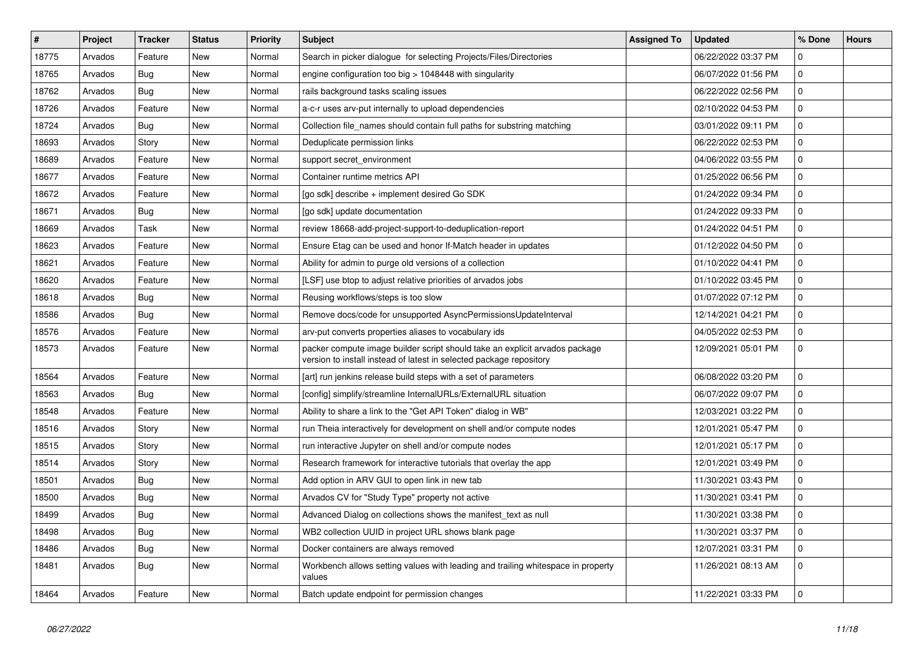| $\sharp$ | Project | <b>Tracker</b> | <b>Status</b> | <b>Priority</b> | <b>Subject</b>                                                                                                                                     | <b>Assigned To</b> | <b>Updated</b>      | % Done         | <b>Hours</b> |
|----------|---------|----------------|---------------|-----------------|----------------------------------------------------------------------------------------------------------------------------------------------------|--------------------|---------------------|----------------|--------------|
| 18775    | Arvados | Feature        | <b>New</b>    | Normal          | Search in picker dialogue for selecting Projects/Files/Directories                                                                                 |                    | 06/22/2022 03:37 PM | $\Omega$       |              |
| 18765    | Arvados | Bug            | <b>New</b>    | Normal          | engine configuration too big $> 1048448$ with singularity                                                                                          |                    | 06/07/2022 01:56 PM | $\Omega$       |              |
| 18762    | Arvados | Bug            | <b>New</b>    | Normal          | rails background tasks scaling issues                                                                                                              |                    | 06/22/2022 02:56 PM | $\Omega$       |              |
| 18726    | Arvados | Feature        | New           | Normal          | a-c-r uses arv-put internally to upload dependencies                                                                                               |                    | 02/10/2022 04:53 PM | $\Omega$       |              |
| 18724    | Arvados | <b>Bug</b>     | New           | Normal          | Collection file_names should contain full paths for substring matching                                                                             |                    | 03/01/2022 09:11 PM | $\Omega$       |              |
| 18693    | Arvados | Story          | New           | Normal          | Deduplicate permission links                                                                                                                       |                    | 06/22/2022 02:53 PM | $\mathbf{0}$   |              |
| 18689    | Arvados | Feature        | New           | Normal          | support secret environment                                                                                                                         |                    | 04/06/2022 03:55 PM | $\mathbf{0}$   |              |
| 18677    | Arvados | Feature        | New           | Normal          | Container runtime metrics API                                                                                                                      |                    | 01/25/2022 06:56 PM | $\Omega$       |              |
| 18672    | Arvados | Feature        | New           | Normal          | [go sdk] describe + implement desired Go SDK                                                                                                       |                    | 01/24/2022 09:34 PM | $\Omega$       |              |
| 18671    | Arvados | <b>Bug</b>     | <b>New</b>    | Normal          | [go sdk] update documentation                                                                                                                      |                    | 01/24/2022 09:33 PM | $\Omega$       |              |
| 18669    | Arvados | Task           | New           | Normal          | review 18668-add-project-support-to-deduplication-report                                                                                           |                    | 01/24/2022 04:51 PM | $\Omega$       |              |
| 18623    | Arvados | Feature        | New           | Normal          | Ensure Etag can be used and honor If-Match header in updates                                                                                       |                    | 01/12/2022 04:50 PM | $\Omega$       |              |
| 18621    | Arvados | Feature        | New           | Normal          | Ability for admin to purge old versions of a collection                                                                                            |                    | 01/10/2022 04:41 PM | $\Omega$       |              |
| 18620    | Arvados | Feature        | New           | Normal          | [LSF] use btop to adjust relative priorities of arvados jobs                                                                                       |                    | 01/10/2022 03:45 PM | $\Omega$       |              |
| 18618    | Arvados | Bug            | New           | Normal          | Reusing workflows/steps is too slow                                                                                                                |                    | 01/07/2022 07:12 PM | $\Omega$       |              |
| 18586    | Arvados | Bug            | New           | Normal          | Remove docs/code for unsupported AsyncPermissionsUpdateInterval                                                                                    |                    | 12/14/2021 04:21 PM | $\Omega$       |              |
| 18576    | Arvados | Feature        | <b>New</b>    | Normal          | arv-put converts properties aliases to vocabulary ids                                                                                              |                    | 04/05/2022 02:53 PM | $\mathbf 0$    |              |
| 18573    | Arvados | Feature        | New           | Normal          | packer compute image builder script should take an explicit arvados package<br>version to install instead of latest in selected package repository |                    | 12/09/2021 05:01 PM | $\overline{0}$ |              |
| 18564    | Arvados | Feature        | New           | Normal          | [art] run jenkins release build steps with a set of parameters                                                                                     |                    | 06/08/2022 03:20 PM | $\mathbf{0}$   |              |
| 18563    | Arvados | Bug            | <b>New</b>    | Normal          | [config] simplify/streamline InternalURLs/ExternalURL situation                                                                                    |                    | 06/07/2022 09:07 PM | $\mathbf{0}$   |              |
| 18548    | Arvados | Feature        | New           | Normal          | Ability to share a link to the "Get API Token" dialog in WB"                                                                                       |                    | 12/03/2021 03:22 PM | $\Omega$       |              |
| 18516    | Arvados | Story          | <b>New</b>    | Normal          | run Theia interactively for development on shell and/or compute nodes                                                                              |                    | 12/01/2021 05:47 PM | $\Omega$       |              |
| 18515    | Arvados | Story          | New           | Normal          | run interactive Jupyter on shell and/or compute nodes                                                                                              |                    | 12/01/2021 05:17 PM | $\Omega$       |              |
| 18514    | Arvados | Story          | New           | Normal          | Research framework for interactive tutorials that overlay the app                                                                                  |                    | 12/01/2021 03:49 PM | $\Omega$       |              |
| 18501    | Arvados | Bug            | New           | Normal          | Add option in ARV GUI to open link in new tab                                                                                                      |                    | 11/30/2021 03:43 PM | $\Omega$       |              |
| 18500    | Arvados | Bug            | <b>New</b>    | Normal          | Arvados CV for "Study Type" property not active                                                                                                    |                    | 11/30/2021 03:41 PM | $\Omega$       |              |
| 18499    | Arvados | Bug            | <b>New</b>    | Normal          | Advanced Dialog on collections shows the manifest text as null                                                                                     |                    | 11/30/2021 03:38 PM | $\Omega$       |              |
| 18498    | Arvados | Bug            | <b>New</b>    | Normal          | WB2 collection UUID in project URL shows blank page                                                                                                |                    | 11/30/2021 03:37 PM | $\Omega$       |              |
| 18486    | Arvados | <b>Bug</b>     | <b>New</b>    | Normal          | Docker containers are always removed                                                                                                               |                    | 12/07/2021 03:31 PM | $\Omega$       |              |
| 18481    | Arvados | <b>Bug</b>     | <b>New</b>    | Normal          | Workbench allows setting values with leading and trailing whitespace in property<br>values                                                         |                    | 11/26/2021 08:13 AM | $\Omega$       |              |
| 18464    | Arvados | Feature        | New           | Normal          | Batch update endpoint for permission changes                                                                                                       |                    | 11/22/2021 03:33 PM | $\Omega$       |              |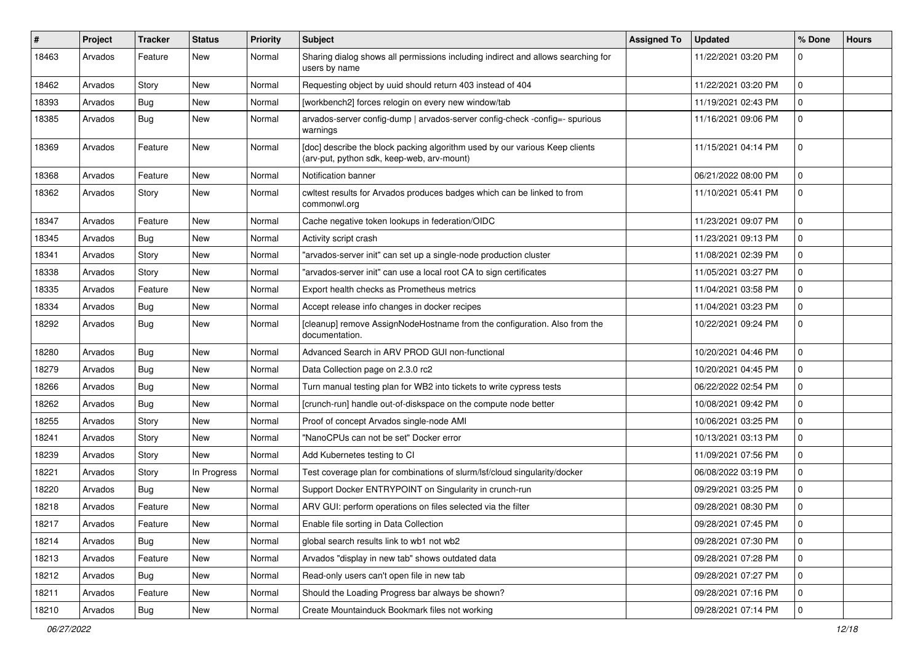| ∦     | Project | <b>Tracker</b> | <b>Status</b> | <b>Priority</b> | <b>Subject</b>                                                                                                            | <b>Assigned To</b> | <b>Updated</b>      | % Done       | <b>Hours</b> |
|-------|---------|----------------|---------------|-----------------|---------------------------------------------------------------------------------------------------------------------------|--------------------|---------------------|--------------|--------------|
| 18463 | Arvados | Feature        | New           | Normal          | Sharing dialog shows all permissions including indirect and allows searching for<br>users by name                         |                    | 11/22/2021 03:20 PM | U            |              |
| 18462 | Arvados | Story          | <b>New</b>    | Normal          | Requesting object by uuid should return 403 instead of 404                                                                |                    | 11/22/2021 03:20 PM | <sup>0</sup> |              |
| 18393 | Arvados | Bug            | <b>New</b>    | Normal          | [workbench2] forces relogin on every new window/tab                                                                       |                    | 11/19/2021 02:43 PM |              |              |
| 18385 | Arvados | Bug            | New           | Normal          | arvados-server config-dump   arvados-server config-check -config=- spurious<br>warnings                                   |                    | 11/16/2021 09:06 PM | $\Omega$     |              |
| 18369 | Arvados | Feature        | <b>New</b>    | Normal          | [doc] describe the block packing algorithm used by our various Keep clients<br>(arv-put, python sdk, keep-web, arv-mount) |                    | 11/15/2021 04:14 PM | <sup>0</sup> |              |
| 18368 | Arvados | Feature        | <b>New</b>    | Normal          | Notification banner                                                                                                       |                    | 06/21/2022 08:00 PM |              |              |
| 18362 | Arvados | Story          | <b>New</b>    | Normal          | cwltest results for Arvados produces badges which can be linked to from<br>commonwl.org                                   |                    | 11/10/2021 05:41 PM | U            |              |
| 18347 | Arvados | Feature        | <b>New</b>    | Normal          | Cache negative token lookups in federation/OIDC                                                                           |                    | 11/23/2021 09:07 PM | <sup>0</sup> |              |
| 18345 | Arvados | Bug            | <b>New</b>    | Normal          | Activity script crash                                                                                                     |                    | 11/23/2021 09:13 PM | <sup>0</sup> |              |
| 18341 | Arvados | Story          | <b>New</b>    | Normal          | "arvados-server init" can set up a single-node production cluster                                                         |                    | 11/08/2021 02:39 PM | U            |              |
| 18338 | Arvados | Story          | New           | Normal          | "arvados-server init" can use a local root CA to sign certificates                                                        |                    | 11/05/2021 03:27 PM | <sup>0</sup> |              |
| 18335 | Arvados | Feature        | New           | Normal          | Export health checks as Prometheus metrics                                                                                |                    | 11/04/2021 03:58 PM | <sup>0</sup> |              |
| 18334 | Arvados | Bug            | <b>New</b>    | Normal          | Accept release info changes in docker recipes                                                                             |                    | 11/04/2021 03:23 PM |              |              |
| 18292 | Arvados | Bug            | <b>New</b>    | Normal          | [cleanup] remove AssignNodeHostname from the configuration. Also from the<br>documentation.                               |                    | 10/22/2021 09:24 PM | U            |              |
| 18280 | Arvados | Bug            | <b>New</b>    | Normal          | Advanced Search in ARV PROD GUI non-functional                                                                            |                    | 10/20/2021 04:46 PM |              |              |
| 18279 | Arvados | Bug            | New           | Normal          | Data Collection page on 2.3.0 rc2                                                                                         |                    | 10/20/2021 04:45 PM | <sup>0</sup> |              |
| 18266 | Arvados | Bug            | <b>New</b>    | Normal          | Turn manual testing plan for WB2 into tickets to write cypress tests                                                      |                    | 06/22/2022 02:54 PM |              |              |
| 18262 | Arvados | Bug            | New           | Normal          | [crunch-run] handle out-of-diskspace on the compute node better                                                           |                    | 10/08/2021 09:42 PM | <sup>0</sup> |              |
| 18255 | Arvados | Story          | New           | Normal          | Proof of concept Arvados single-node AMI                                                                                  |                    | 10/06/2021 03:25 PM | 0            |              |
| 18241 | Arvados | Story          | <b>New</b>    | Normal          | "NanoCPUs can not be set" Docker error                                                                                    |                    | 10/13/2021 03:13 PM | <sup>0</sup> |              |
| 18239 | Arvados | Story          | <b>New</b>    | Normal          | Add Kubernetes testing to CI                                                                                              |                    | 11/09/2021 07:56 PM | <sup>0</sup> |              |
| 18221 | Arvados | Story          | In Progress   | Normal          | Test coverage plan for combinations of slurm/lsf/cloud singularity/docker                                                 |                    | 06/08/2022 03:19 PM |              |              |
| 18220 | Arvados | Bug            | New           | Normal          | Support Docker ENTRYPOINT on Singularity in crunch-run                                                                    |                    | 09/29/2021 03:25 PM | $\Omega$     |              |
| 18218 | Arvados | Feature        | <b>New</b>    | Normal          | ARV GUI: perform operations on files selected via the filter                                                              |                    | 09/28/2021 08:30 PM | 0            |              |
| 18217 | Arvados | Feature        | I New         | Normal          | Enable file sorting in Data Collection                                                                                    |                    | 09/28/2021 07:45 PM |              |              |
| 18214 | Arvados | Bug            | New           | Normal          | global search results link to wb1 not wb2                                                                                 |                    | 09/28/2021 07:30 PM | $\Omega$     |              |
| 18213 | Arvados | Feature        | New           | Normal          | Arvados "display in new tab" shows outdated data                                                                          |                    | 09/28/2021 07:28 PM | $\mathbf 0$  |              |
| 18212 | Arvados | <b>Bug</b>     | New           | Normal          | Read-only users can't open file in new tab                                                                                |                    | 09/28/2021 07:27 PM | $\mathbf 0$  |              |
| 18211 | Arvados | Feature        | New           | Normal          | Should the Loading Progress bar always be shown?                                                                          |                    | 09/28/2021 07:16 PM | $\mathbf 0$  |              |
| 18210 | Arvados | Bug            | New           | Normal          | Create Mountainduck Bookmark files not working                                                                            |                    | 09/28/2021 07:14 PM | $\mathbf 0$  |              |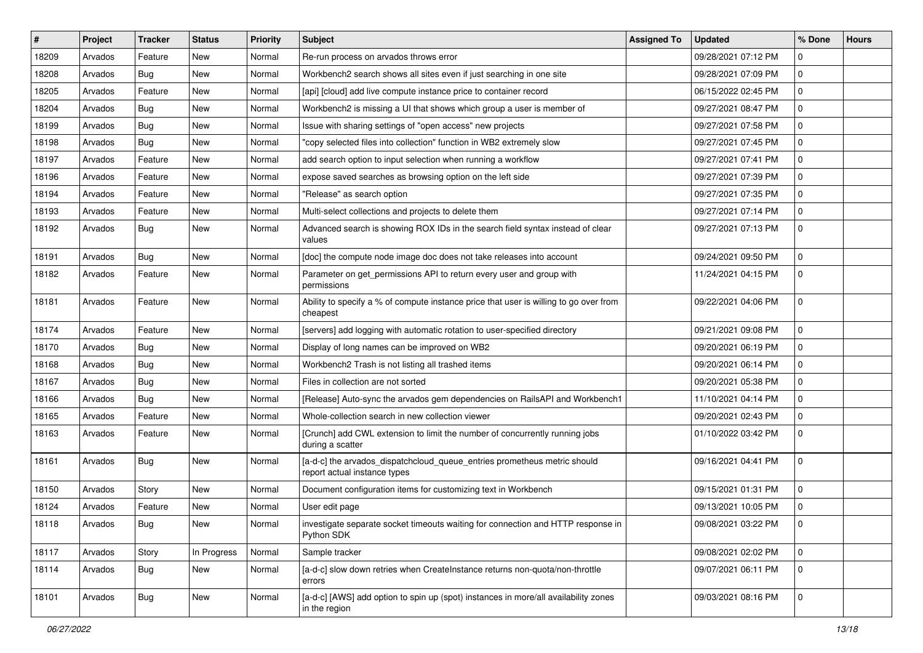| ∦     | Project | <b>Tracker</b> | <b>Status</b> | <b>Priority</b> | Subject                                                                                                  | <b>Assigned To</b> | <b>Updated</b>      | % Done         | <b>Hours</b> |
|-------|---------|----------------|---------------|-----------------|----------------------------------------------------------------------------------------------------------|--------------------|---------------------|----------------|--------------|
| 18209 | Arvados | Feature        | New           | Normal          | Re-run process on arvados throws error                                                                   |                    | 09/28/2021 07:12 PM | $\mathbf 0$    |              |
| 18208 | Arvados | Bug            | <b>New</b>    | Normal          | Workbench2 search shows all sites even if just searching in one site                                     |                    | 09/28/2021 07:09 PM | $\mathbf 0$    |              |
| 18205 | Arvados | Feature        | New           | Normal          | [api] [cloud] add live compute instance price to container record                                        |                    | 06/15/2022 02:45 PM | $\mathbf 0$    |              |
| 18204 | Arvados | Bug            | New           | Normal          | Workbench2 is missing a UI that shows which group a user is member of                                    |                    | 09/27/2021 08:47 PM | $\mathbf{0}$   |              |
| 18199 | Arvados | Bug            | New           | Normal          | Issue with sharing settings of "open access" new projects                                                |                    | 09/27/2021 07:58 PM | $\mathbf 0$    |              |
| 18198 | Arvados | Bug            | New           | Normal          | "copy selected files into collection" function in WB2 extremely slow                                     |                    | 09/27/2021 07:45 PM | $\Omega$       |              |
| 18197 | Arvados | Feature        | New           | Normal          | add search option to input selection when running a workflow                                             |                    | 09/27/2021 07:41 PM | $\overline{0}$ |              |
| 18196 | Arvados | Feature        | New           | Normal          | expose saved searches as browsing option on the left side                                                |                    | 09/27/2021 07:39 PM | $\mathbf 0$    |              |
| 18194 | Arvados | Feature        | New           | Normal          | "Release" as search option                                                                               |                    | 09/27/2021 07:35 PM | $\mathbf 0$    |              |
| 18193 | Arvados | Feature        | <b>New</b>    | Normal          | Multi-select collections and projects to delete them                                                     |                    | 09/27/2021 07:14 PM | $\mathbf{0}$   |              |
| 18192 | Arvados | <b>Bug</b>     | New           | Normal          | Advanced search is showing ROX IDs in the search field syntax instead of clear<br>values                 |                    | 09/27/2021 07:13 PM | $\mathbf 0$    |              |
| 18191 | Arvados | Bug            | <b>New</b>    | Normal          | [doc] the compute node image doc does not take releases into account                                     |                    | 09/24/2021 09:50 PM | $\mathbf 0$    |              |
| 18182 | Arvados | Feature        | New           | Normal          | Parameter on get_permissions API to return every user and group with<br>permissions                      |                    | 11/24/2021 04:15 PM | $\Omega$       |              |
| 18181 | Arvados | Feature        | New           | Normal          | Ability to specify a % of compute instance price that user is willing to go over from<br>cheapest        |                    | 09/22/2021 04:06 PM | $\overline{0}$ |              |
| 18174 | Arvados | Feature        | <b>New</b>    | Normal          | [servers] add logging with automatic rotation to user-specified directory                                |                    | 09/21/2021 09:08 PM | $\mathbf 0$    |              |
| 18170 | Arvados | Bug            | New           | Normal          | Display of long names can be improved on WB2                                                             |                    | 09/20/2021 06:19 PM | $\mathbf 0$    |              |
| 18168 | Arvados | <b>Bug</b>     | New           | Normal          | Workbench2 Trash is not listing all trashed items                                                        |                    | 09/20/2021 06:14 PM | $\overline{0}$ |              |
| 18167 | Arvados | Bug            | New           | Normal          | Files in collection are not sorted                                                                       |                    | 09/20/2021 05:38 PM | $\mathbf 0$    |              |
| 18166 | Arvados | Bug            | New           | Normal          | [Release] Auto-sync the arvados gem dependencies on RailsAPI and Workbench1                              |                    | 11/10/2021 04:14 PM | $\Omega$       |              |
| 18165 | Arvados | Feature        | <b>New</b>    | Normal          | Whole-collection search in new collection viewer                                                         |                    | 09/20/2021 02:43 PM | $\mathbf 0$    |              |
| 18163 | Arvados | Feature        | New           | Normal          | [Crunch] add CWL extension to limit the number of concurrently running jobs<br>during a scatter          |                    | 01/10/2022 03:42 PM | $\mathbf 0$    |              |
| 18161 | Arvados | Bug            | <b>New</b>    | Normal          | [a-d-c] the arvados_dispatchcloud_queue_entries prometheus metric should<br>report actual instance types |                    | 09/16/2021 04:41 PM | $\mathbf{0}$   |              |
| 18150 | Arvados | Story          | <b>New</b>    | Normal          | Document configuration items for customizing text in Workbench                                           |                    | 09/15/2021 01:31 PM | $\mathbf{0}$   |              |
| 18124 | Arvados | Feature        | <b>New</b>    | Normal          | User edit page                                                                                           |                    | 09/13/2021 10:05 PM | $\mathbf 0$    |              |
| 18118 | Arvados | <b>Bug</b>     | New           | Normal          | investigate separate socket timeouts waiting for connection and HTTP response in<br>Python SDK           |                    | 09/08/2021 03:22 PM | 0              |              |
| 18117 | Arvados | Story          | In Progress   | Normal          | Sample tracker                                                                                           |                    | 09/08/2021 02:02 PM | $\mathbf 0$    |              |
| 18114 | Arvados | <b>Bug</b>     | New           | Normal          | [a-d-c] slow down retries when CreateInstance returns non-quota/non-throttle<br>errors                   |                    | 09/07/2021 06:11 PM | $\mathbf{0}$   |              |
| 18101 | Arvados | Bug            | New           | Normal          | [a-d-c] [AWS] add option to spin up (spot) instances in more/all availability zones<br>in the region     |                    | 09/03/2021 08:16 PM | $\mathbf{0}$   |              |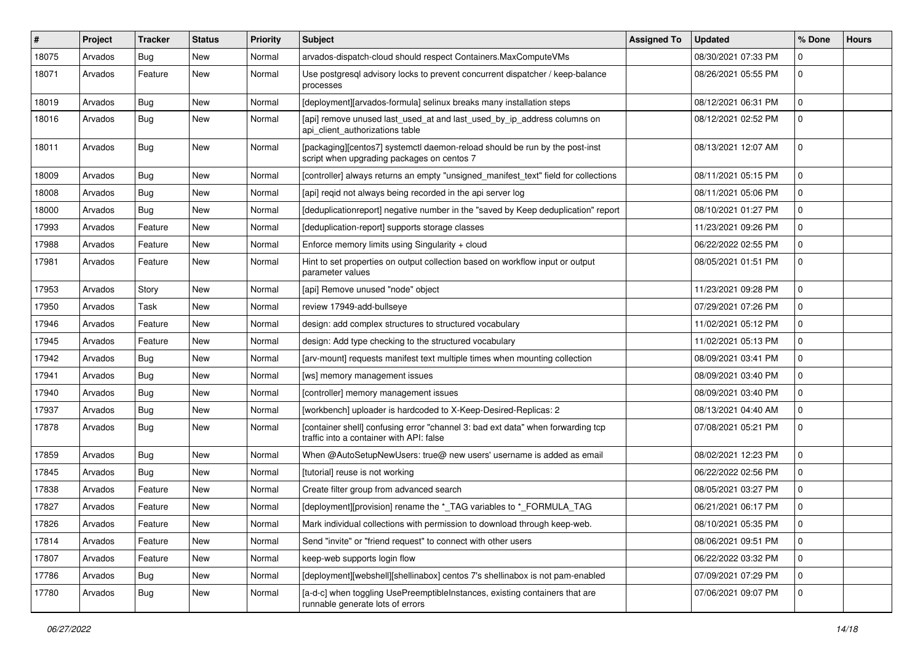| #     | Project | <b>Tracker</b> | <b>Status</b> | <b>Priority</b> | <b>Subject</b>                                                                                                              | <b>Assigned To</b> | <b>Updated</b>      | % Done         | <b>Hours</b> |
|-------|---------|----------------|---------------|-----------------|-----------------------------------------------------------------------------------------------------------------------------|--------------------|---------------------|----------------|--------------|
| 18075 | Arvados | <b>Bug</b>     | New           | Normal          | arvados-dispatch-cloud should respect Containers.MaxComputeVMs                                                              |                    | 08/30/2021 07:33 PM | $\mathbf 0$    |              |
| 18071 | Arvados | Feature        | New           | Normal          | Use postgresql advisory locks to prevent concurrent dispatcher / keep-balance<br>processes                                  |                    | 08/26/2021 05:55 PM | $\mathbf{0}$   |              |
| 18019 | Arvados | Bug            | New           | Normal          | [deployment][arvados-formula] selinux breaks many installation steps                                                        |                    | 08/12/2021 06:31 PM | $\mathbf{0}$   |              |
| 18016 | Arvados | Bug            | New           | Normal          | [api] remove unused last_used_at and last_used_by_ip_address columns on<br>api_client_authorizations table                  |                    | 08/12/2021 02:52 PM | $\mathbf{0}$   |              |
| 18011 | Arvados | Bug            | New           | Normal          | [packaging][centos7] systemctl daemon-reload should be run by the post-inst<br>script when upgrading packages on centos 7   |                    | 08/13/2021 12:07 AM | $\overline{0}$ |              |
| 18009 | Arvados | Bug            | New           | Normal          | [controller] always returns an empty "unsigned_manifest_text" field for collections                                         |                    | 08/11/2021 05:15 PM | $\Omega$       |              |
| 18008 | Arvados | Bug            | New           | Normal          | [api] reqid not always being recorded in the api server log                                                                 |                    | 08/11/2021 05:06 PM | $\mathbf 0$    |              |
| 18000 | Arvados | <b>Bug</b>     | New           | Normal          | [deduplicationreport] negative number in the "saved by Keep deduplication" report                                           |                    | 08/10/2021 01:27 PM | $\mathbf 0$    |              |
| 17993 | Arvados | Feature        | New           | Normal          | [deduplication-report] supports storage classes                                                                             |                    | 11/23/2021 09:26 PM | $\mathbf{0}$   |              |
| 17988 | Arvados | Feature        | New           | Normal          | Enforce memory limits using Singularity + cloud                                                                             |                    | 06/22/2022 02:55 PM | $\mathbf 0$    |              |
| 17981 | Arvados | Feature        | New           | Normal          | Hint to set properties on output collection based on workflow input or output<br>parameter values                           |                    | 08/05/2021 01:51 PM | $\mathbf 0$    |              |
| 17953 | Arvados | Story          | New           | Normal          | [api] Remove unused "node" object                                                                                           |                    | 11/23/2021 09:28 PM | $\mathbf 0$    |              |
| 17950 | Arvados | Task           | New           | Normal          | review 17949-add-bullseye                                                                                                   |                    | 07/29/2021 07:26 PM | $\mathbf 0$    |              |
| 17946 | Arvados | Feature        | New           | Normal          | design: add complex structures to structured vocabulary                                                                     |                    | 11/02/2021 05:12 PM | $\mathbf 0$    |              |
| 17945 | Arvados | Feature        | New           | Normal          | design: Add type checking to the structured vocabulary                                                                      |                    | 11/02/2021 05:13 PM | $\mathbf 0$    |              |
| 17942 | Arvados | <b>Bug</b>     | New           | Normal          | [arv-mount] requests manifest text multiple times when mounting collection                                                  |                    | 08/09/2021 03:41 PM | $\overline{0}$ |              |
| 17941 | Arvados | <b>Bug</b>     | New           | Normal          | [ws] memory management issues                                                                                               |                    | 08/09/2021 03:40 PM | $\mathbf 0$    |              |
| 17940 | Arvados | <b>Bug</b>     | New           | Normal          | [controller] memory management issues                                                                                       |                    | 08/09/2021 03:40 PM | $\Omega$       |              |
| 17937 | Arvados | Bug            | New           | Normal          | [workbench] uploader is hardcoded to X-Keep-Desired-Replicas: 2                                                             |                    | 08/13/2021 04:40 AM | $\mathbf 0$    |              |
| 17878 | Arvados | <b>Bug</b>     | New           | Normal          | [container shell] confusing error "channel 3: bad ext data" when forwarding tcp<br>traffic into a container with API: false |                    | 07/08/2021 05:21 PM | $\overline{0}$ |              |
| 17859 | Arvados | Bug            | New           | Normal          | When @AutoSetupNewUsers: true@ new users' username is added as email                                                        |                    | 08/02/2021 12:23 PM | $\mathbf 0$    |              |
| 17845 | Arvados | <b>Bug</b>     | New           | Normal          | [tutorial] reuse is not working                                                                                             |                    | 06/22/2022 02:56 PM | $\mathbf 0$    |              |
| 17838 | Arvados | Feature        | New           | Normal          | Create filter group from advanced search                                                                                    |                    | 08/05/2021 03:27 PM | $\overline{0}$ |              |
| 17827 | Arvados | Feature        | New           | Normal          | [deployment][provision] rename the *_TAG variables to *_FORMULA_TAG                                                         |                    | 06/21/2021 06:17 PM | $\mathbf 0$    |              |
| 17826 | Arvados | Feature        | New           | Normal          | Mark individual collections with permission to download through keep-web.                                                   |                    | 08/10/2021 05:35 PM |                |              |
| 17814 | Arvados | Feature        | New           | Normal          | Send "invite" or "friend request" to connect with other users                                                               |                    | 08/06/2021 09:51 PM | $\mathbf{0}$   |              |
| 17807 | Arvados | Feature        | New           | Normal          | keep-web supports login flow                                                                                                |                    | 06/22/2022 03:32 PM | $\mathbf 0$    |              |
| 17786 | Arvados | Bug            | New           | Normal          | [deployment][webshell][shellinabox] centos 7's shellinabox is not pam-enabled                                               |                    | 07/09/2021 07:29 PM | $\mathbf 0$    |              |
| 17780 | Arvados | <b>Bug</b>     | New           | Normal          | [a-d-c] when toggling UsePreemptibleInstances, existing containers that are<br>runnable generate lots of errors             |                    | 07/06/2021 09:07 PM | $\mathbf 0$    |              |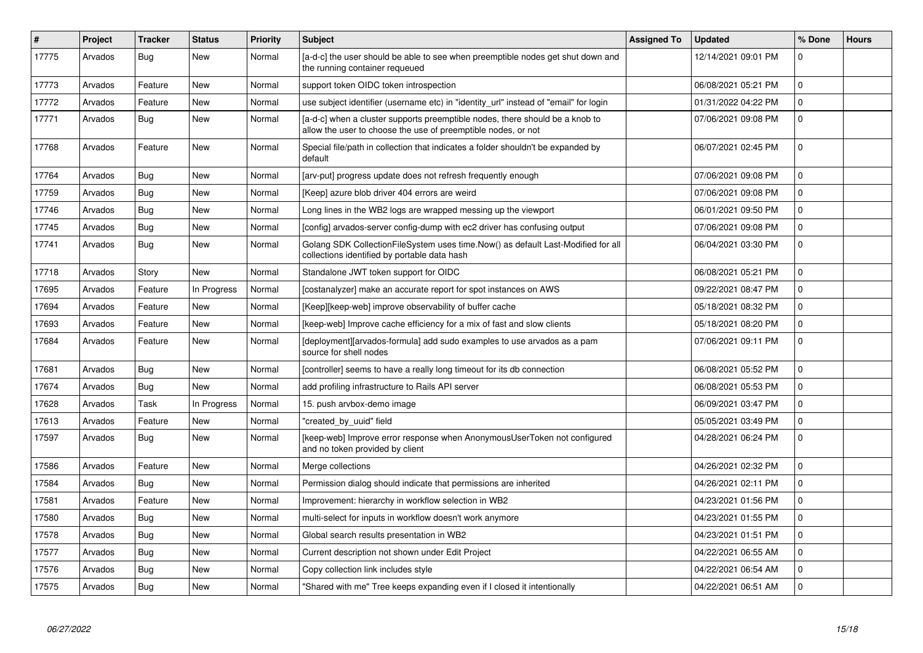| #     | Project | <b>Tracker</b> | <b>Status</b> | <b>Priority</b> | <b>Subject</b>                                                                                                                                | <b>Assigned To</b> | <b>Updated</b>      | % Done         | <b>Hours</b> |
|-------|---------|----------------|---------------|-----------------|-----------------------------------------------------------------------------------------------------------------------------------------------|--------------------|---------------------|----------------|--------------|
| 17775 | Arvados | Bug            | <b>New</b>    | Normal          | [a-d-c] the user should be able to see when preemptible nodes get shut down and<br>the running container requeued                             |                    | 12/14/2021 09:01 PM | $\Omega$       |              |
| 17773 | Arvados | Feature        | New           | Normal          | support token OIDC token introspection                                                                                                        |                    | 06/08/2021 05:21 PM | $\Omega$       |              |
| 17772 | Arvados | Feature        | <b>New</b>    | Normal          | use subject identifier (username etc) in "identity url" instead of "email" for login                                                          |                    | 01/31/2022 04:22 PM | $\overline{0}$ |              |
| 17771 | Arvados | <b>Bug</b>     | <b>New</b>    | Normal          | [a-d-c] when a cluster supports preemptible nodes, there should be a knob to<br>allow the user to choose the use of preemptible nodes, or not |                    | 07/06/2021 09:08 PM | $\Omega$       |              |
| 17768 | Arvados | Feature        | <b>New</b>    | Normal          | Special file/path in collection that indicates a folder shouldn't be expanded by<br>default                                                   |                    | 06/07/2021 02:45 PM | $\Omega$       |              |
| 17764 | Arvados | <b>Bug</b>     | <b>New</b>    | Normal          | [arv-put] progress update does not refresh frequently enough                                                                                  |                    | 07/06/2021 09:08 PM | $\Omega$       |              |
| 17759 | Arvados | <b>Bug</b>     | <b>New</b>    | Normal          | [Keep] azure blob driver 404 errors are weird                                                                                                 |                    | 07/06/2021 09:08 PM | $\overline{0}$ |              |
| 17746 | Arvados | Bug            | <b>New</b>    | Normal          | Long lines in the WB2 logs are wrapped messing up the viewport                                                                                |                    | 06/01/2021 09:50 PM | $\overline{0}$ |              |
| 17745 | Arvados | Bug            | <b>New</b>    | Normal          | [config] arvados-server config-dump with ec2 driver has confusing output                                                                      |                    | 07/06/2021 09:08 PM | $\overline{0}$ |              |
| 17741 | Arvados | Bug            | <b>New</b>    | Normal          | Golang SDK CollectionFileSystem uses time.Now() as default Last-Modified for all<br>collections identified by portable data hash              |                    | 06/04/2021 03:30 PM | $\mathbf 0$    |              |
| 17718 | Arvados | Story          | <b>New</b>    | Normal          | Standalone JWT token support for OIDC                                                                                                         |                    | 06/08/2021 05:21 PM | $\Omega$       |              |
| 17695 | Arvados | Feature        | In Progress   | Normal          | [costanalyzer] make an accurate report for spot instances on AWS                                                                              |                    | 09/22/2021 08:47 PM | $\mathbf 0$    |              |
| 17694 | Arvados | Feature        | <b>New</b>    | Normal          | [Keep][keep-web] improve observability of buffer cache                                                                                        |                    | 05/18/2021 08:32 PM | $\overline{0}$ |              |
| 17693 | Arvados | Feature        | <b>New</b>    | Normal          | [keep-web] Improve cache efficiency for a mix of fast and slow clients                                                                        |                    | 05/18/2021 08:20 PM | $\overline{0}$ |              |
| 17684 | Arvados | Feature        | <b>New</b>    | Normal          | [deployment][arvados-formula] add sudo examples to use arvados as a pam<br>source for shell nodes                                             |                    | 07/06/2021 09:11 PM | $\Omega$       |              |
| 17681 | Arvados | Bug            | <b>New</b>    | Normal          | [controller] seems to have a really long timeout for its db connection                                                                        |                    | 06/08/2021 05:52 PM | $\mathbf 0$    |              |
| 17674 | Arvados | Bug            | <b>New</b>    | Normal          | add profiling infrastructure to Rails API server                                                                                              |                    | 06/08/2021 05:53 PM | $\Omega$       |              |
| 17628 | Arvados | Task           | In Progress   | Normal          | 15. push arvbox-demo image                                                                                                                    |                    | 06/09/2021 03:47 PM | $\mathbf{0}$   |              |
| 17613 | Arvados | Feature        | <b>New</b>    | Normal          | "created_by_uuid" field                                                                                                                       |                    | 05/05/2021 03:49 PM | $\pmb{0}$      |              |
| 17597 | Arvados | Bug            | <b>New</b>    | Normal          | [keep-web] Improve error response when AnonymousUserToken not configured<br>and no token provided by client                                   |                    | 04/28/2021 06:24 PM | $\overline{0}$ |              |
| 17586 | Arvados | Feature        | <b>New</b>    | Normal          | Merge collections                                                                                                                             |                    | 04/26/2021 02:32 PM | $\mathbf{0}$   |              |
| 17584 | Arvados | Bug            | <b>New</b>    | Normal          | Permission dialog should indicate that permissions are inherited                                                                              |                    | 04/26/2021 02:11 PM | $\Omega$       |              |
| 17581 | Arvados | Feature        | New           | Normal          | Improvement: hierarchy in workflow selection in WB2                                                                                           |                    | 04/23/2021 01:56 PM | $\mathbf 0$    |              |
| 17580 | Arvados | <b>Bug</b>     | New           | Normal          | multi-select for inputs in workflow doesn't work anymore                                                                                      |                    | 04/23/2021 01:55 PM | $\overline{0}$ |              |
| 17578 | Arvados | Bug            | New           | Normal          | Global search results presentation in WB2                                                                                                     |                    | 04/23/2021 01:51 PM | $\pmb{0}$      |              |
| 17577 | Arvados | Bug            | New           | Normal          | Current description not shown under Edit Project                                                                                              |                    | 04/22/2021 06:55 AM | $\overline{0}$ |              |
| 17576 | Arvados | Bug            | New           | Normal          | Copy collection link includes style                                                                                                           |                    | 04/22/2021 06:54 AM | $\mathbf 0$    |              |
| 17575 | Arvados | Bug            | <b>New</b>    | Normal          | "Shared with me" Tree keeps expanding even if I closed it intentionally                                                                       |                    | 04/22/2021 06:51 AM | $\Omega$       |              |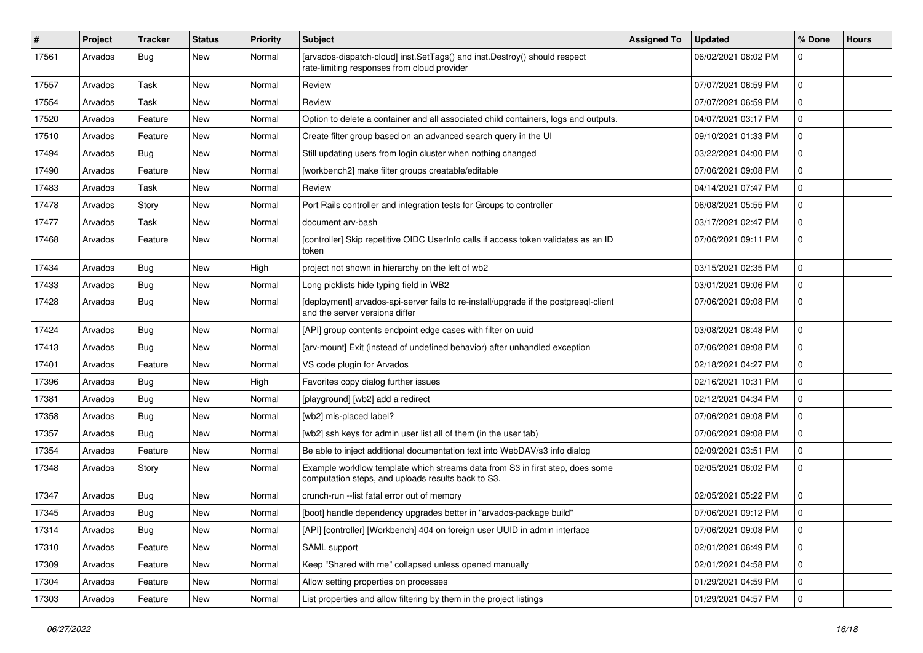| #     | Project | Tracker    | <b>Status</b> | <b>Priority</b> | <b>Subject</b>                                                                                                                      | <b>Assigned To</b> | <b>Updated</b>      | % Done         | <b>Hours</b> |
|-------|---------|------------|---------------|-----------------|-------------------------------------------------------------------------------------------------------------------------------------|--------------------|---------------------|----------------|--------------|
| 17561 | Arvados | Bug        | New           | Normal          | [arvados-dispatch-cloud] inst.SetTags() and inst.Destroy() should respect<br>rate-limiting responses from cloud provider            |                    | 06/02/2021 08:02 PM | $\Omega$       |              |
| 17557 | Arvados | Task       | <b>New</b>    | Normal          | Review                                                                                                                              |                    | 07/07/2021 06:59 PM | $\mathbf 0$    |              |
| 17554 | Arvados | Task       | <b>New</b>    | Normal          | Review                                                                                                                              |                    | 07/07/2021 06:59 PM | $\overline{0}$ |              |
| 17520 | Arvados | Feature    | <b>New</b>    | Normal          | Option to delete a container and all associated child containers, logs and outputs.                                                 |                    | 04/07/2021 03:17 PM | $\mathbf 0$    |              |
| 17510 | Arvados | Feature    | New           | Normal          | Create filter group based on an advanced search query in the UI                                                                     |                    | 09/10/2021 01:33 PM | $\Omega$       |              |
| 17494 | Arvados | Bug        | <b>New</b>    | Normal          | Still updating users from login cluster when nothing changed                                                                        |                    | 03/22/2021 04:00 PM | $\mathbf 0$    |              |
| 17490 | Arvados | Feature    | New           | Normal          | [workbench2] make filter groups creatable/editable                                                                                  |                    | 07/06/2021 09:08 PM | $\mathbf 0$    |              |
| 17483 | Arvados | Task       | New           | Normal          | Review                                                                                                                              |                    | 04/14/2021 07:47 PM | $\mathbf 0$    |              |
| 17478 | Arvados | Story      | <b>New</b>    | Normal          | Port Rails controller and integration tests for Groups to controller                                                                |                    | 06/08/2021 05:55 PM | $\mathbf 0$    |              |
| 17477 | Arvados | Task       | <b>New</b>    | Normal          | document arv-bash                                                                                                                   |                    | 03/17/2021 02:47 PM | $\Omega$       |              |
| 17468 | Arvados | Feature    | New           | Normal          | [controller] Skip repetitive OIDC UserInfo calls if access token validates as an ID<br>token                                        |                    | 07/06/2021 09:11 PM | $\overline{0}$ |              |
| 17434 | Arvados | Bug        | <b>New</b>    | High            | project not shown in hierarchy on the left of wb2                                                                                   |                    | 03/15/2021 02:35 PM | $\Omega$       |              |
| 17433 | Arvados | Bug        | <b>New</b>    | Normal          | Long picklists hide typing field in WB2                                                                                             |                    | 03/01/2021 09:06 PM | $\mathbf 0$    |              |
| 17428 | Arvados | Bug        | <b>New</b>    | Normal          | [deployment] arvados-api-server fails to re-install/upgrade if the postgresql-client<br>and the server versions differ              |                    | 07/06/2021 09:08 PM | $\mathbf 0$    |              |
| 17424 | Arvados | Bug        | <b>New</b>    | Normal          | [API] group contents endpoint edge cases with filter on uuid                                                                        |                    | 03/08/2021 08:48 PM | $\mathbf 0$    |              |
| 17413 | Arvados | <b>Bug</b> | New           | Normal          | [arv-mount] Exit (instead of undefined behavior) after unhandled exception                                                          |                    | 07/06/2021 09:08 PM | $\Omega$       |              |
| 17401 | Arvados | Feature    | New           | Normal          | VS code plugin for Arvados                                                                                                          |                    | 02/18/2021 04:27 PM | $\overline{0}$ |              |
| 17396 | Arvados | Bug        | New           | High            | Favorites copy dialog further issues                                                                                                |                    | 02/16/2021 10:31 PM | $\mathbf 0$    |              |
| 17381 | Arvados | Bug        | <b>New</b>    | Normal          | [playground] [wb2] add a redirect                                                                                                   |                    | 02/12/2021 04:34 PM | $\mathbf 0$    |              |
| 17358 | Arvados | Bug        | New           | Normal          | [wb2] mis-placed label?                                                                                                             |                    | 07/06/2021 09:08 PM | $\mathbf 0$    |              |
| 17357 | Arvados | Bug        | <b>New</b>    | Normal          | [wb2] ssh keys for admin user list all of them (in the user tab)                                                                    |                    | 07/06/2021 09:08 PM | $\mathbf 0$    |              |
| 17354 | Arvados | Feature    | New           | Normal          | Be able to inject additional documentation text into WebDAV/s3 info dialog                                                          |                    | 02/09/2021 03:51 PM | $\overline{0}$ |              |
| 17348 | Arvados | Story      | New           | Normal          | Example workflow template which streams data from S3 in first step, does some<br>computation steps, and uploads results back to S3. |                    | 02/05/2021 06:02 PM | $\mathbf 0$    |              |
| 17347 | Arvados | Bug        | <b>New</b>    | Normal          | crunch-run --list fatal error out of memory                                                                                         |                    | 02/05/2021 05:22 PM | $\mathbf 0$    |              |
| 17345 | Arvados | Bug        | New           | Normal          | [boot] handle dependency upgrades better in "arvados-package build"                                                                 |                    | 07/06/2021 09:12 PM | $\overline{0}$ |              |
| 17314 | Arvados | <b>Bug</b> | New           | Normal          | [API] [controller] [Workbench] 404 on foreign user UUID in admin interface                                                          |                    | 07/06/2021 09:08 PM | $\overline{0}$ |              |
| 17310 | Arvados | Feature    | New           | Normal          | SAML support                                                                                                                        |                    | 02/01/2021 06:49 PM | $\mathbf 0$    |              |
| 17309 | Arvados | Feature    | New           | Normal          | Keep "Shared with me" collapsed unless opened manually                                                                              |                    | 02/01/2021 04:58 PM | 0              |              |
| 17304 | Arvados | Feature    | New           | Normal          | Allow setting properties on processes                                                                                               |                    | 01/29/2021 04:59 PM | $\mathbf 0$    |              |
| 17303 | Arvados | Feature    | New           | Normal          | List properties and allow filtering by them in the project listings                                                                 |                    | 01/29/2021 04:57 PM | $\mathbf 0$    |              |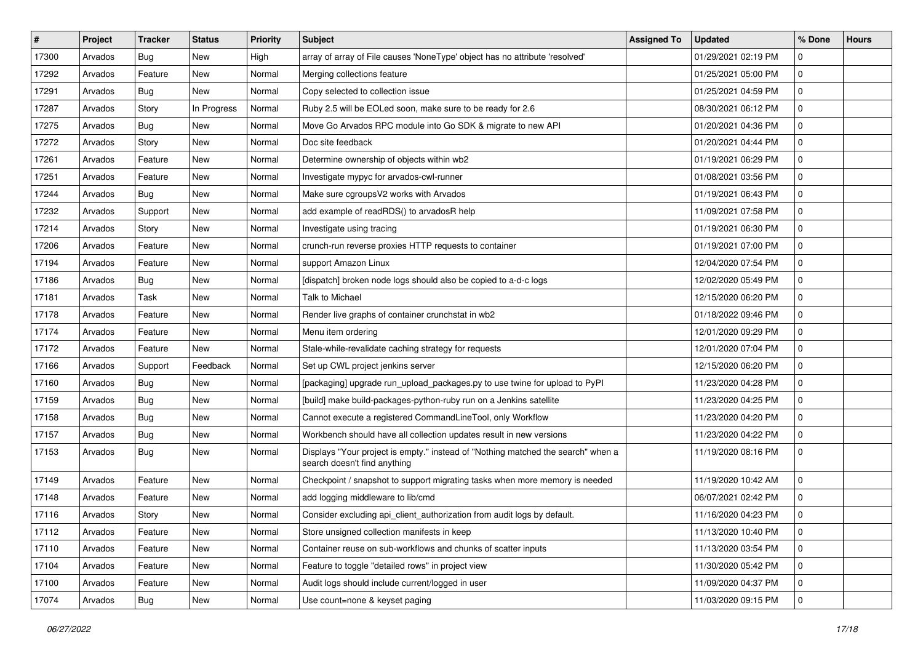| $\sharp$ | Project | <b>Tracker</b> | <b>Status</b> | <b>Priority</b> | <b>Subject</b>                                                                                                   | <b>Assigned To</b> | <b>Updated</b>      | % Done       | <b>Hours</b> |
|----------|---------|----------------|---------------|-----------------|------------------------------------------------------------------------------------------------------------------|--------------------|---------------------|--------------|--------------|
| 17300    | Arvados | <b>Bug</b>     | New           | High            | array of array of File causes 'NoneType' object has no attribute 'resolved'                                      |                    | 01/29/2021 02:19 PM | 0            |              |
| 17292    | Arvados | Feature        | New           | Normal          | Merging collections feature                                                                                      |                    | 01/25/2021 05:00 PM | 0            |              |
| 17291    | Arvados | <b>Bug</b>     | New           | Normal          | Copy selected to collection issue                                                                                |                    | 01/25/2021 04:59 PM | <sup>0</sup> |              |
| 17287    | Arvados | Story          | In Progress   | Normal          | Ruby 2.5 will be EOLed soon, make sure to be ready for 2.6                                                       |                    | 08/30/2021 06:12 PM | $\Omega$     |              |
| 17275    | Arvados | Bug            | <b>New</b>    | Normal          | Move Go Arvados RPC module into Go SDK & migrate to new API                                                      |                    | 01/20/2021 04:36 PM | $\Omega$     |              |
| 17272    | Arvados | Story          | New           | Normal          | Doc site feedback                                                                                                |                    | 01/20/2021 04:44 PM | <sup>0</sup> |              |
| 17261    | Arvados | Feature        | New           | Normal          | Determine ownership of objects within wb2                                                                        |                    | 01/19/2021 06:29 PM | 0            |              |
| 17251    | Arvados | Feature        | New           | Normal          | Investigate mypyc for arvados-cwl-runner                                                                         |                    | 01/08/2021 03:56 PM | <sup>0</sup> |              |
| 17244    | Arvados | <b>Bug</b>     | New           | Normal          | Make sure cgroupsV2 works with Arvados                                                                           |                    | 01/19/2021 06:43 PM | <sup>0</sup> |              |
| 17232    | Arvados | Support        | New           | Normal          | add example of readRDS() to arvadosR help                                                                        |                    | 11/09/2021 07:58 PM | 0            |              |
| 17214    | Arvados | Story          | New           | Normal          | Investigate using tracing                                                                                        |                    | 01/19/2021 06:30 PM | <sup>0</sup> |              |
| 17206    | Arvados | Feature        | New           | Normal          | crunch-run reverse proxies HTTP requests to container                                                            |                    | 01/19/2021 07:00 PM | 0            |              |
| 17194    | Arvados | Feature        | New           | Normal          | support Amazon Linux                                                                                             |                    | 12/04/2020 07:54 PM | $\Omega$     |              |
| 17186    | Arvados | <b>Bug</b>     | New           | Normal          | [dispatch] broken node logs should also be copied to a-d-c logs                                                  |                    | 12/02/2020 05:49 PM | 0            |              |
| 17181    | Arvados | Task           | <b>New</b>    | Normal          | Talk to Michael                                                                                                  |                    | 12/15/2020 06:20 PM | <sup>0</sup> |              |
| 17178    | Arvados | Feature        | New           | Normal          | Render live graphs of container crunchstat in wb2                                                                |                    | 01/18/2022 09:46 PM | <sup>0</sup> |              |
| 17174    | Arvados | Feature        | New           | Normal          | Menu item ordering                                                                                               |                    | 12/01/2020 09:29 PM | $\Omega$     |              |
| 17172    | Arvados | Feature        | New           | Normal          | Stale-while-revalidate caching strategy for requests                                                             |                    | 12/01/2020 07:04 PM | $\Omega$     |              |
| 17166    | Arvados | Support        | Feedback      | Normal          | Set up CWL project jenkins server                                                                                |                    | 12/15/2020 06:20 PM | <sup>0</sup> |              |
| 17160    | Arvados | Bug            | New           | Normal          | [packaging] upgrade run_upload_packages.py to use twine for upload to PyPI                                       |                    | 11/23/2020 04:28 PM | <sup>0</sup> |              |
| 17159    | Arvados | <b>Bug</b>     | New           | Normal          | [build] make build-packages-python-ruby run on a Jenkins satellite                                               |                    | 11/23/2020 04:25 PM | <sup>0</sup> |              |
| 17158    | Arvados | <b>Bug</b>     | New           | Normal          | Cannot execute a registered CommandLineTool, only Workflow                                                       |                    | 11/23/2020 04:20 PM | $\Omega$     |              |
| 17157    | Arvados | Bug            | <b>New</b>    | Normal          | Workbench should have all collection updates result in new versions                                              |                    | 11/23/2020 04:22 PM | 0            |              |
| 17153    | Arvados | <b>Bug</b>     | New           | Normal          | Displays "Your project is empty." instead of "Nothing matched the search" when a<br>search doesn't find anything |                    | 11/19/2020 08:16 PM | <sup>0</sup> |              |
| 17149    | Arvados | Feature        | New           | Normal          | Checkpoint / snapshot to support migrating tasks when more memory is needed                                      |                    | 11/19/2020 10:42 AM | $\Omega$     |              |
| 17148    | Arvados | Feature        | New           | Normal          | add logging middleware to lib/cmd                                                                                |                    | 06/07/2021 02:42 PM | 0            |              |
| 17116    | Arvados | Story          | New           | Normal          | Consider excluding api_client_authorization from audit logs by default.                                          |                    | 11/16/2020 04:23 PM | $\Omega$     |              |
| 17112    | Arvados | Feature        | New           | Normal          | Store unsigned collection manifests in keep                                                                      |                    | 11/13/2020 10:40 PM | 0            |              |
| 17110    | Arvados | Feature        | New           | Normal          | Container reuse on sub-workflows and chunks of scatter inputs                                                    |                    | 11/13/2020 03:54 PM | 0            |              |
| 17104    | Arvados | Feature        | New           | Normal          | Feature to toggle "detailed rows" in project view                                                                |                    | 11/30/2020 05:42 PM | $\mathbf 0$  |              |
| 17100    | Arvados | Feature        | New           | Normal          | Audit logs should include current/logged in user                                                                 |                    | 11/09/2020 04:37 PM | 0            |              |
| 17074    | Arvados | Bug            | New           | Normal          | Use count=none & keyset paging                                                                                   |                    | 11/03/2020 09:15 PM | $\Omega$     |              |